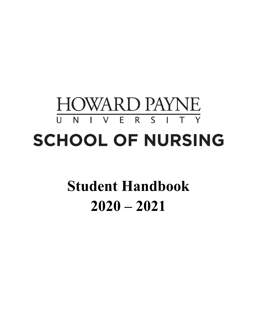# **HOWARD PAYNE** I V E R S I T Y  $\overline{U}$  N **SCHOOL OF NURSING**

# **Student Handbook 2020 – 2021**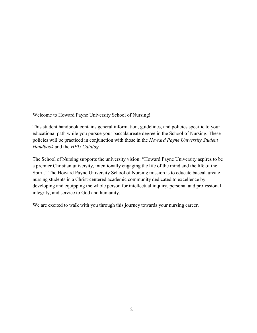<span id="page-1-0"></span>Welcome to Howard Payne University School of Nursing!

This student handbook contains general information, guidelines, and policies specific to your educational path while you pursue your baccalaureate degree in the School of Nursing. These policies will be practiced in conjunction with those in the *Howard Payne University Student Handbook* and the *HPU Catalog.*

The School of Nursing supports the university vision: "Howard Payne University aspires to be a premier Christian university, intentionally engaging the life of the mind and the life of the Spirit." The Howard Payne University School of Nursing mission is to educate baccalaureate nursing students in a Christ-centered academic community dedicated to excellence by developing and equipping the whole person for intellectual inquiry, personal and professional integrity, and service to God and humanity.

We are excited to walk with you through this journey towards your nursing career.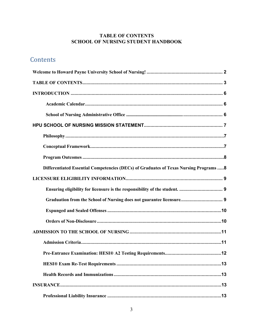#### **TABLE OF CONTENTS SCHOOL OF NURSING STUDENT HANDBOOK**

### <span id="page-2-0"></span>Contents

| Differentiated Essential Competencies (DECs) of Graduates of Texas Nursing Programs  8 |
|----------------------------------------------------------------------------------------|
|                                                                                        |
|                                                                                        |
| Graduation from the School of Nursing does not guarantee licensure 9                   |
|                                                                                        |
|                                                                                        |
|                                                                                        |
|                                                                                        |
|                                                                                        |
|                                                                                        |
|                                                                                        |
|                                                                                        |
|                                                                                        |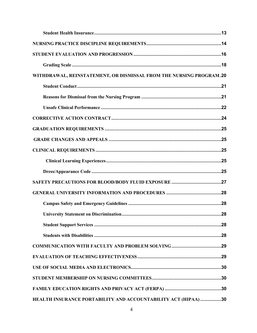| WITHDRAWAL, REINSTATEMENT, OR DISMISSAL FROM THE NURSING PROGRAM.20 |
|---------------------------------------------------------------------|
|                                                                     |
|                                                                     |
|                                                                     |
|                                                                     |
|                                                                     |
|                                                                     |
|                                                                     |
|                                                                     |
|                                                                     |
|                                                                     |
|                                                                     |
|                                                                     |
|                                                                     |
|                                                                     |
|                                                                     |
|                                                                     |
|                                                                     |
|                                                                     |
|                                                                     |
|                                                                     |
| HEALTH INSURANCE PORTABILITY AND ACCOUNTABILITY ACT (HIPAA) 30      |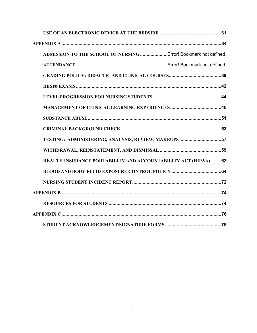| ADMISSION TO THE SCHOOL OF NURSING  Error! Bookmark not defined. |
|------------------------------------------------------------------|
|                                                                  |
|                                                                  |
|                                                                  |
|                                                                  |
|                                                                  |
|                                                                  |
|                                                                  |
| TESTING: ADMINISTERING, ANALYSIS, REVIEW, MAKEUPS57              |
|                                                                  |
| HEALTH INSURANCE PORTABILITY AND ACCOUNTABILITY ACT (HIPAA)62    |
|                                                                  |
|                                                                  |
|                                                                  |
|                                                                  |
|                                                                  |
|                                                                  |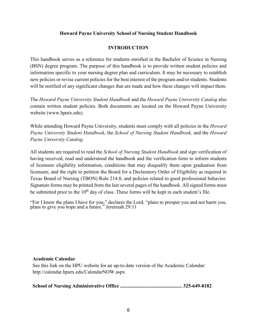#### **Howard Payne University School of Nursing Student Handbook**

#### **INTRODUCTION**

<span id="page-5-0"></span>This handbook serves as a reference for students enrolled in the Bachelor of Science in Nursing (BSN) degree program. The purpose of this handbook is to provide written student policies and information specific to your nursing degree plan and curriculum. It may be necessary to establish new policies or revise current policies for the best interest of the program and/or students. Students will be notified of any significant changes that are made and how these changes will impact them.

The *Howard Payne University Student Handbook* and the *Howard Payne University Catalog* also contain written student policies. Both documents are located on the Howard Payne University website (www.hputx.edu).

While attending Howard Payne University, students must comply with all policies in the *Howard Payne University Student Handbook*, the *School of Nursing Student Handbook,* and the *Howard Payne University Catalog.*

All students are required to read the *School of Nursing Student Handbook* and sign verification of having received, read and understood the handbook and the verification form to inform students of licensure eligibility information, conditions that may disqualify them upon graduation from licensure, and the right to petition the Board for a Declaratory Order of Eligibility as required in Texas Board of Nursing (TBON) Rule 214.8, and policies related to good professional behavior. Signature forms may be printed from the last several pages of the handbook. All signed forms must be submitted prior to the  $10<sup>th</sup>$  day of class. These forms will be kept in each student's file.

<span id="page-5-1"></span>"For I know the plans I have for you," declares the Lord, "plans to prosper you and not harm you, plans to give you hope and a future." Jeremiah 29:11

#### **Academic Calendar**

See this link on the HPU website for an up-to-date version of the Academic Calendar: http://calendar.hputx.edu/CalendarNOW.aspx

<span id="page-5-2"></span>

|--|--|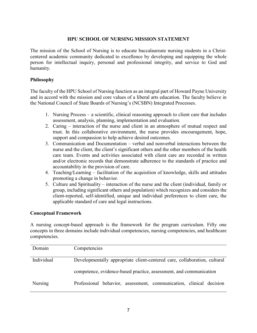#### **HPU SCHOOL OF NURSING MISSION STATEMENT**

<span id="page-6-0"></span>The mission of the School of Nursing is to educate baccalaureate nursing students in a Christcentered academic community dedicated to excellence by developing and equipping the whole person for intellectual inquiry, personal and professional integrity, and service to God and humanity.

#### <span id="page-6-1"></span>**Philosophy**

The faculty of the HPU School of Nursing function as an integral part of Howard Payne University and in accord with the mission and core values of a liberal arts education. The faculty believe in the National Council of State Boards of Nursing's (NCSBN) Integrated Processes.

- 1. Nursing Process a scientific, clinical reasoning approach to client care that includes assessment, analysis, planning, implementation and evaluation.
- 2. Caring interaction of the nurse and client in an atmosphere of mutual respect and trust. In this collaborative environment, the nurse provides encouragement, hope, support and compassion to help achieve desired outcomes.
- 3. Communication and Documentation verbal and nonverbal interactions between the nurse and the client, the client's significant others and the other members of the health care team. Events and activities associated with client care are recorded in written and/or electronic records that demonstrate adherence to the standards of practice and accountability in the provision of care.
- 4. Teaching/Learning facilitation of the acquisition of knowledge, skills and attitudes promoting a change in behavior.
- 5. Culture and Spirituality interaction of the nurse and the client (individual, family or group, including significant others and population) which recognizes and considers the client-reported, self-identified, unique and individual preferences to client care, the applicable standard of care and legal instructions.

#### <span id="page-6-2"></span>**Conceptual Framework**

A nursing concept-based approach is the framework for the program curriculum. Fifty one concepts in three domains include individual competencies, nursing competencies, and healthcare competencies.

| Domain     | Competencies                                                              |  |  |
|------------|---------------------------------------------------------------------------|--|--|
| Individual | Developmentally appropriate client-centered care, collaboration, cultural |  |  |
|            | competence, evidence-based practice, assessment, and communication        |  |  |
| Nursing    | Professional behavior, assessment, communication, clinical decision       |  |  |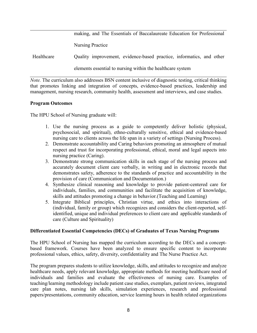|                                                            | making, and The Essentials of Baccalaureate Education for Professional |  |
|------------------------------------------------------------|------------------------------------------------------------------------|--|
|                                                            | Nursing Practice                                                       |  |
| Healthcare                                                 | Quality improvement, evidence-based practice, informatics, and other   |  |
| elements essential to nursing within the healthcare system |                                                                        |  |

*Note.* The curriculum also addresses BSN content inclusive of diagnostic testing, critical thinking that promotes linking and integration of concepts, evidence-based practices, leadership and management, nursing research, community health, assessment and interviews, and case studies.

#### <span id="page-7-0"></span>**Program Outcomes**

The HPU School of Nursing graduate will:

- 1. Use the nursing process as a guide to competently deliver holistic (physical, psychosocial, and spiritual), ethno-culturally sensitive, ethical and evidence-based nursing care to clients across the life span in a variety of settings (Nursing Process).
- 2. Demonstrate accountability and Caring behaviors promoting an atmosphere of mutual respect and trust for incorporating professional, ethical, moral and legal aspects into nursing practice (Caring).
- 3. Demonstrate strong communication skills in each stage of the nursing process and accurately document client care verbally, in writing and in electronic records that demonstrates safety, adherence to the standards of practice and accountability in the provision of care (Communication and Documentation.)
- 4. Synthesize clinical reasoning and knowledge to provide patient-centered care for individuals, families, and communities and facilitate the acquisition of knowledge, skills and attitudes promoting a change in behavior.(Teaching and Learning)
- 5. Integrate Biblical principles, Christian virtue, and ethics into interactions of (individual, family or group) which recognizes and considers the client-reported, selfidentified, unique and individual preferences to client care and applicable standards of care (Culture and Spirituality)

#### <span id="page-7-1"></span>**Differentiated Essential Competencies (DECs) of Graduates of Texas Nursing Programs**

The HPU School of Nursing has mapped the curriculum according to the DECs and a conceptbased framework. Courses have been analyzed to ensure specific content to incorporate professional values, ethics, safety, diversity, confidentiality and The Nurse Practice Act.

The program prepares students to utilize knowledge, skills, and attitudes to recognize and analyze healthcare needs, apply relevant knowledge, appropriate methods for meeting healthcare need of individuals and families and evaluate the effectiveness of nursing care. Examples of teaching/learning methodology include patient case studies, exemplars, patient reviews, integrated care plan notes, nursing lab skills, simulation experiences, research and professional papers/presentations, community education, service learning hours in health related organizations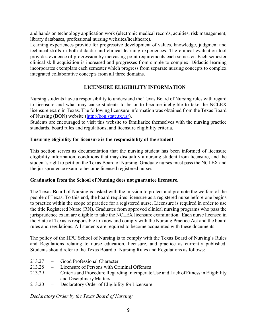and hands on technology application work (electronic medical records, acuities, risk management, library databases, professional nursing websites/healthcare).

Learning experiences provide for progressive development of values, knowledge, judgment and technical skills in both didactic and clinical learning experiences. The clinical evaluation tool provides evidence of progression by increasing point requirements each semester. Each semester clinical skill acquisition is increased and progresses from simple to complex. Didactic learning incorporates exemplars each semester which progress from separate nursing concepts to complex integrated collaborative concepts from all three domains.

#### **LICENSURE ELIGIBILITY INFORMATION**

<span id="page-8-0"></span>Nursing students have a responsibility to understand the Texas Board of Nursing rules with regard to licensure and what may cause students to be or to become ineligible to take the NCLEX licensure exam in Texas. The following licensure information was obtained from the Texas Board of Nursing (BON) website [\(http://bon.state.tx.us/\)](http://bon.state.tx.us/).

Students are encouraged to visit this website to familiarize themselves with the nursing practice standards, board rules and regulations, and licensure eligibility criteria.

#### <span id="page-8-1"></span>**Ensuring eligibility for licensure is the responsibility of the student**.

This section serves as documentation that the nursing student has been informed of licensure eligibility information, conditions that may disqualify a nursing student from licensure, and the student's right to petition the Texas Board of Nursing. Graduate nurses must pass the NCLEX and the jurisprudence exam to become licensed registered nurses.

#### <span id="page-8-2"></span>**Graduation from the School of Nursing does not guarantee licensure.**

The Texas Board of Nursing is tasked with the mission to protect and promote the welfare of the people of Texas. To this end, the board requires licensure as a registered nurse before one begins to practice within the scope of practice for a registered nurse. Licensure is required in order to use the title Registered Nurse (RN). Graduates from approved clinical nursing programs who pass the jurisprudence exam are eligible to take the NCLEX licensure examination. Each nurse licensed in the State of Texas is responsible to know and comply with the Nursing Practice Act and the board rules and regulations. All students are required to become acquainted with these documents.

The policy of the HPU School of Nursing is to comply with the Texas Board of Nursing's Rules and Regulations relating to nurse education, licensure, and practice as currently published. Students should refer to the Texas Board of Nursing Rules and Regulations as follows:

- 213.27 Good Professional Character
- 213.28 Licensure of Persons with Criminal Offenses
- 213.29 Criteria and Procedure Regarding Intemperate Use and Lack ofFitnessin Eligibility and Disciplinary Matters
- 213.20 Declaratory Order of Eligibility for Licensure

*Declaratory Order by the Texas Board of Nursing:*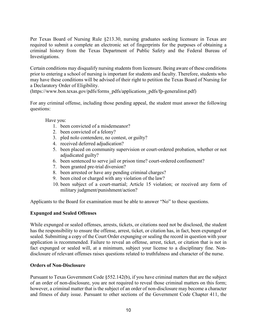Per Texas Board of Nursing Rule §213.30, nursing graduates seeking licensure in Texas are required to submit a complete an electronic set of fingerprints for the purposes of obtaining a criminal history from the Texas Department of Public Safety and the Federal Bureau of Investigations.

Certain conditions may disqualify nursing students from licensure. Being aware of these conditions prior to entering a school of nursing is important for students and faculty. Therefore, students who may have these conditions will be advised of their right to petition the Texas Board of Nursing for a Declaratory Order of Eligibility.

(https://www.bon.texas.gov/pdfs/forms\_pdfs/applications\_pdfs/fp-generalinst.pdf)

For any criminal offense, including those pending appeal, the student must answer the following questions:

Have you:

- 1. been convicted of a misdemeanor?
- 2. been convicted of a felony?
- 3. pled nolo contendere, no contest, or guilty?
- 4. received deferred adjudication?
- 5. been placed on community supervision or court-ordered probation, whether or not adjudicated guilty?
- 6. been sentenced to serve jail or prison time? court-ordered confinement?
- 7. been granted pre-trial diversion?
- 8. been arrested or have any pending criminal charges?
- 9. been cited or charged with any violation of the law?
- 10. been subject of a court-martial; Article 15 violation; or received any form of military judgment/punishment/action?

Applicants to the Board for examination must be able to answer "No" to these questions.

#### <span id="page-9-0"></span>**Expunged and Sealed Offenses**

While expunged or sealed offenses, arrests, tickets, or citations need not be disclosed, the student has the responsibility to ensure the offense, arrest, ticket, or citation has, in fact, been expunged or sealed. Submitting a copy of the Court Order expunging or sealing the record in question with your application is recommended. Failure to reveal an offense, arrest, ticket, or citation that is not in fact expunged or sealed will, at a minimum, subject your license to a disciplinary fine. Nondisclosure of relevant offenses raises questions related to truthfulness and character of the nurse.

#### <span id="page-9-1"></span>**Orders of Non-Disclosure**

Pursuant to Texas Government Code §552.142(b), if you have criminal matters that are the subject of an order of non-disclosure, you are not required to reveal those criminal matters on this form; however, a criminal matter that is the subject of an order of non-disclosure may become a character and fitness of duty issue. Pursuant to other sections of the Government Code Chapter 411, the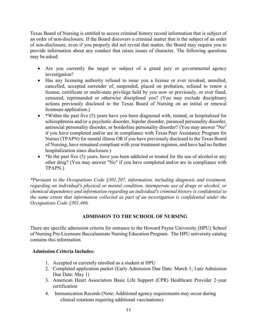Texas Board of Nursing is entitled to access criminal history record information that is subject of an order of non-disclosure. If the Board discovers a criminal matter that is the subject of an order of non-disclosure, even if you properly did not reveal that matter, the Board may require you to provide information about any conduct that raises issues of character. The following questions may be asked:

- Are you currently the target or subject of a grand jury or governmental agency investigation?
- Has any licensing authority refused to issue you a license or ever revoked, annulled, cancelled, accepted surrender of, suspended, placed on probation, refused to renew a license, certificate or multi-state privilege held by you now or previously, or ever fined, censured, reprimanded or otherwise disciplined you? (You may exclude disciplinary actions previously disclosed to the Texas Board of Nursing on an initial or renewal licensure application.)
- \*Within the past five (5) years have you been diagnosed with, treated, or hospitalized for schizophrenia and/or a psychotic disorder, bipolar disorder, paranoid personality disorder, antisocial personality disorder, or borderline personality disorder? (You may answer "No" if you have completed and/or are in compliance with Texas Peer Assistance Program for Nurses (TPAPN) for mental illness OR if you have previously disclosed to the Texas Board of Nursing, have remained compliant with your treatment regimen, and have had no further hospitalization since disclosure.)
- \*In the past five (5) years, have you been addicted or treated for the use of alcohol or any other drug? (You may answer "No" if you have completed and/or are in compliance with TPAPN.)

*\*Pursuant to the Occupations Code §301.207, information, including diagnosis and treatment, regarding an individual's physical or mental condition, intemperate use of drugs or alcohol, or chemical dependency and information regarding an individual's criminal history is confidential to the same extent that information collected as part of an investigation is confidential under the Occupations Code §301.466.*

#### **ADMISSION TO THE SCHOOL OF NURSING**

<span id="page-10-0"></span>There are specific admission criteria for entrance to the Howard Payne University (HPU) School of Nursing Pre-Licensure Baccalaureate Nursing Education Program. The HPU university catalog contains this information.

#### <span id="page-10-1"></span>**Admission Criteria Includes:**

- 1. Accepted or currently enrolled as a student at HPU
- 2. Completed application packet (Early Admission Due Date: March 1; Late Admission Due Date: May 1)
- 3. American Heart Association Basic Life Support (CPR) Healthcare Provider 2-year certification
- 4. Immunization Records (Note: Additional agency requirements may occur during clinical rotations requiring additional vaccinations)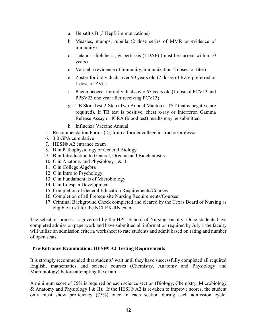- a. Hepatitis B (3 HepB immunizations)
- b. Measles, mumps, rubella (2 dose series of MMR or evidence of immunity)
- c. Tetanus, diphtheria, & pertussis (TDAP) (must be current within 10 years)
- d. Varicella (evidence of immunity, immunization-2 doses, or titer)
- e. Zoster for individuals over 50 years old (2 doses of RZV preferred or 1 dose of ZVL)
- f. Pneumococcal for individuals over 65 years old (1 dose of PCV13 and PPSV23 one year after receiving PCV13)
- g. TB Skin Test 2-Step (Two Annual Mantoux- TST that is negative are required). If TB test is positive, chest x-ray or Interferon Gamma Release Assay or IGRA (blood test) results may be submitted.
- h. Influenza Vaccine Annual
- 5. Recommendation Forms (2); from a former college instructor/professor
- 6. 3.0 GPA cumulative
- 7. HESI® A2 entrance exam
- 8. B in Pathophysiology or General Biology
- 9. B in Introduction to General, Organic and Biochemistry
- 10. C in Anatomy and Physiology I & II
- 11. C in College Algebra
- 12. C in Intro to Psychology
- 13. C in Fundamentals of Microbiology
- 14. C in Lifespan Development
- 15. Completion of General Education Requirements/Courses
- 16. Completion of all Prerequisite Nursing Requirements/Courses
- 17. Criminal Background Check completed and cleared by the Texas Board of Nursing as eligible to sit for the NCLEX-RN exam.

The selection process is governed by the HPU School of Nursing Faculty. Once students have completed admission paperwork and have submitted all information required by July 1 the faculty will utilize an admission criteria worksheet to rate students and admit based on rating and number of open seats.

#### <span id="page-11-0"></span>**Pre-Entrance Examination: HESI® A2 Testing Requirements**

It is strongly recommended that students' wait until they have successfully completed all required English, mathematics and science courses (Chemistry, Anatomy and Physiology and Microbiology) before attempting the exam.

A minimum score of 75% is required on each science section (Biology, Chemistry, Microbiology & Anatomy and Physiology I & II). If the HESI® A2 is re-taken to improve scores, the student only must show proficiency (75%) once in each section during each admission cycle.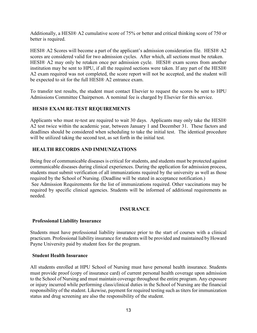Additionally, a HESI® A2 cumulative score of 75% or better and critical thinking score of 750 or better is required.

HESI® A2 Scores will become a part of the applicant's admission consideration file. HESI® A2 scores are considered valid for two admission cycles. After which, all sections must be retaken. HESI® A2 may only be retaken once per admission cycle. HESI® exam scores from another institution may be sent to HPU, if all the required sections were taken. If any part of the HESI® A2 exam required was not completed, the score report will not be accepted, and the student will be expected to sit for the full HESI® A2 entrance exam.

To transfer test results, the student must contact Elsevier to request the scores be sent to HPU Admissions Committee Chairperson. A nominal fee is charged by Elsevier for this service.

#### <span id="page-12-0"></span>**HESI® EXAM RE-TEST REQUIREMENTS**

Applicants who must re-test are required to wait 30 days. Applicants may only take the HESI® A2 test twice within the academic year, between January 1 and December 31. These factors and deadlines should be considered when scheduling to take the initial test. The identical procedure will be utilized taking the second test, as set forth in the initial test.

#### <span id="page-12-1"></span>**HEALTH RECORDS AND IMMUNIZATIONS**

Being free of communicable diseases is critical for students, and students must be protected against communicable diseases during clinical experiences. During the application for admission process, students must submit verification of all immunizations required by the university as well as those required by the School of Nursing. (Deadline will be stated in acceptance notification.) See Admission Requirements for the list of immunizations required. Other vaccinations may be required by specific clinical agencies. Students will be informed of additional requirements as

#### **INSURANCE**

#### <span id="page-12-3"></span>**Professional Liability Insurance**

<span id="page-12-2"></span>needed.

Students must have professional liability insurance prior to the start of courses with a clinical practicum. Professional liability insurance for students will be provided and maintained by Howard Payne University paid by student fees for the program.

#### <span id="page-12-4"></span>**Student Health Insurance**

All students enrolled at HPU School of Nursing must have personal health insurance. Students must provide proof (copy of insurance card) of current personal health coverage upon admission to the School of Nursing and must maintain coverage throughout the entire program. Any exposure or injury incurred while performing class/clinical duties in the School of Nursing are the financial responsibility of the student. Likewise, payment for required testing such as titers for immunization status and drug screening are also the responsibility of the student.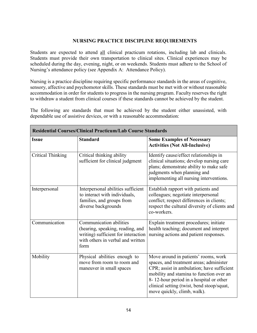#### **NURSING PRACTICE DISCIPLINE REQUIREMENTS**

<span id="page-13-0"></span>Students are expected to attend all clinical practicum rotations, including lab and clinicals. Students must provide their own transportation to clinical sites. Clinical experiences may be scheduled during the day, evening, night, or on weekends. Students must adhere to the School of Nursing's attendance policy (see Appendix A: Attendance Policy).

Nursing is a practice discipline requiring specific performance standards in the areas of cognitive, sensory, affective and psychomotor skills. These standards must be met with or without reasonable accommodation in order for students to progress in the nursing program. Faculty reserves the right to withdraw a student from clinical courses if these standards cannot be achieved by the student.

The following are standards that must be achieved by the student either unassisted, with dependable use of assistive devices, or with a reasonable accommodation:

| <b>Residential Courses/Clinical Practicum/Lab Course Standards</b> |                                                                                                                                                        |                                                                                                                                                                                                                                                                                                   |
|--------------------------------------------------------------------|--------------------------------------------------------------------------------------------------------------------------------------------------------|---------------------------------------------------------------------------------------------------------------------------------------------------------------------------------------------------------------------------------------------------------------------------------------------------|
| <b>Issue</b>                                                       | <b>Standard</b>                                                                                                                                        | <b>Some Examples of Necessary</b><br><b>Activities (Not All-Inclusive)</b>                                                                                                                                                                                                                        |
| <b>Critical Thinking</b>                                           | Critical thinking ability<br>sufficient for clinical judgment                                                                                          | Identify cause/effect relationships in<br>clinical situations; develop nursing care<br>plans; demonstrate ability to make safe<br>judgments when planning and<br>implementing all nursing interventions.                                                                                          |
| Interpersonal                                                      | Interpersonal abilities sufficient<br>to interact with individuals,<br>families, and groups from<br>diverse backgrounds                                | Establish rapport with patients and<br>colleagues; negotiate interpersonal<br>conflict; respect differences in clients;<br>respect the cultural diversity of clients and<br>co-workers.                                                                                                           |
| Communication                                                      | <b>Communication abilities</b><br>(hearing, speaking, reading, and<br>writing) sufficient for interaction<br>with others in verbal and written<br>form | Explain treatment procedures; initiate<br>health teaching; document and interpret<br>nursing actions and patient responses.                                                                                                                                                                       |
| Mobility                                                           | Physical abilities enough to<br>move from room to room and<br>maneuver in small spaces                                                                 | Move around in patients' rooms, work<br>spaces, and treatment areas; administer<br>CPR; assist in ambulation; have sufficient<br>mobility and stamina to function over an<br>8-12-hour period in a hospital or other<br>clinical setting (twist, bend stoop/squat,<br>move quickly, climb, walk). |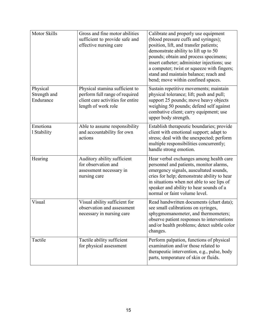| <b>Motor Skills</b>                   | Gross and fine motor abilities<br>sufficient to provide safe and<br>effective nursing care                                   | Calibrate and properly use equipment<br>(blood pressure cuffs and syringes);<br>position, lift, and transfer patients;<br>demonstrate ability to lift up to 50<br>pounds; obtain and process specimens;<br>insert catheter; administer injections; use<br>a computer; twist or squeeze with fingers;<br>stand and maintain balance; reach and<br>bend; move within confined spaces. |
|---------------------------------------|------------------------------------------------------------------------------------------------------------------------------|-------------------------------------------------------------------------------------------------------------------------------------------------------------------------------------------------------------------------------------------------------------------------------------------------------------------------------------------------------------------------------------|
| Physical<br>Strength and<br>Endurance | Physical stamina sufficient to<br>perform full range of required<br>client care activities for entire<br>length of work role | Sustain repetitive movements; maintain<br>physical tolerance; lift; push and pull;<br>support 25 pounds; move heavy objects<br>weighing 50 pounds; defend self against<br>combative client; carry equipment; use<br>upper body strength.                                                                                                                                            |
| Emotiona<br>1 Stability               | Able to assume responsibility<br>and accountability for own<br>actions                                                       | Establish therapeutic boundaries; provide<br>client with emotional support; adapt to<br>stress; deal with the unexpected; perform<br>multiple responsibilities concurrently;<br>handle strong emotion.                                                                                                                                                                              |
| Hearing                               | Auditory ability sufficient<br>for observation and<br>assessment necessary in<br>nursing care                                | Hear verbal exchanges among health care<br>personnel and patients, monitor alarms,<br>emergency signals, auscultated sounds,<br>cries for help; demonstrate ability to hear<br>in situations when not able to see lips of<br>speaker and ability to hear sounds of a<br>normal or faint volume level.                                                                               |
| Visual                                | Visual ability sufficient for<br>observation and assessment<br>necessary in nursing care                                     | Read handwritten documents (chart data);<br>see small calibrations on syringes,<br>sphygmomanometer, and thermometers;<br>observe patient responses to interventions<br>and/or health problems; detect subtle color<br>changes.                                                                                                                                                     |
| Tactile                               | Tactile ability sufficient<br>for physical assessment                                                                        | Perform palpation, functions of physical<br>examination and/or those related to<br>therapeutic intervention, e.g., pulse, body<br>parts, temperature of skin or fluids.                                                                                                                                                                                                             |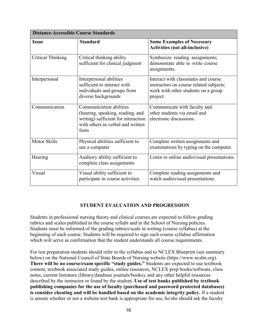| <b>Distance-Accessible Course Standards</b> |                                                                                                                                                 |                                                                                                                                   |
|---------------------------------------------|-------------------------------------------------------------------------------------------------------------------------------------------------|-----------------------------------------------------------------------------------------------------------------------------------|
| <b>Issue</b>                                | <b>Standard</b>                                                                                                                                 | <b>Some Examples of Necessary</b><br><b>Activities (not all-inclusive)</b>                                                        |
| <b>Critical Thinking</b>                    | Critical thinking ability<br>sufficient for clinical judgment                                                                                   | Synthesize reading assignments;<br>demonstrate able to write course<br>assignments.                                               |
| Interpersonal                               | Interpersonal abilities<br>sufficient to interact with<br>individuals and groups from<br>diverse backgrounds                                    | Interact with classmates and course<br>instructors on course related subjects;<br>work with other students on a group<br>project. |
| Communication                               | Communication abilities<br>(hearing, speaking, reading, and<br>writing) sufficient for interaction<br>with others in verbal and written<br>form | Communicate with faculty and<br>other students via email and<br>electronic discussions.                                           |
| <b>Motor Skills</b>                         | Physical abilities sufficient to<br>use a computer                                                                                              | Complete written assignments and<br>examinations by typing on the computer.                                                       |
| Hearing                                     | Auditory ability sufficient to<br>complete class assignments                                                                                    | Listen to online audiovisual presentations.                                                                                       |
| Visual                                      | Visual ability sufficient to<br>participate in course activities                                                                                | Complete reading assignments and<br>watch audiovisual presentations.                                                              |

#### **STUDENT EVALUATION AND PROGRESSION**

<span id="page-15-0"></span>Students in professional nursing theory and clinical courses are expected to follow grading rubrics and scales published in the course syllabi and in the School of Nursing policies. Students must be informed of the grading rubrics/scale in writing (course syllabus) at the beginning of each course. Students will be required to sign each course syllabus affirmation which will serve as confirmation that the student understands all course requirements.

For test preparation students should refer to the syllabus and to NCLEX Blueprint (see summary below) on the National Council of State Boards of Nursing website (https://www.ncsbn.org). **There will be no course/exam specific "study guides."** Students are expected to use textbook content, textbook associated study guides, online resources, NCLEX prep books/software, class notes, current literature (library/database journals/books), and any other helpful resources described by the instructor or found by the student. **Use of test banks published by textbook publishing companies for the use of faculty (purchased and password protected databases) is consider cheating and will be handled based on the academic integrity policy.** If a student is unsure whether or not a website test bank is appropriate for use, he/she should ask the faculty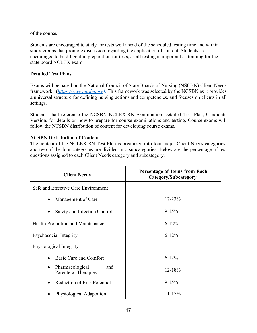of the course.

Students are encouraged to study for tests well ahead of the scheduled testing time and within study groups that promote discussion regarding the application of content. Students are encouraged to be diligent in preparation for tests, as all testing is important as training for the state board NCLEX exam.

#### **Detailed Test Plans**

Exams will be based on the National Council of State Boards of Nursing (NSCBN) Client Needs framework. (*https://www.ncsbn.org).* This framework was selected by the NCSBN as it provides a universal structure for defining nursing actions and competencies, and focuses on clients in all settings.

Students shall reference the NCSBN NCLEX-RN Examination Detailed Test Plan, Candidate Version, for details on how to prepare for course examinations and testing. Course exams will follow the NCSBN distribution of content for developing course exams.

#### **NCSBN Distribution of Content**

The content of the NCLEX-RN Test Plan is organized into four major Client Needs categories, and two of the four categories are divided into subcategories. Below are the percentage of test questions assigned to each Client Needs category and subcategory.

| <b>Client Needs</b>                                                | Percentage of Items from Each<br>Category/Subcategory |
|--------------------------------------------------------------------|-------------------------------------------------------|
| Safe and Effective Care Environment                                |                                                       |
| Management of Care<br>$\bullet$                                    | $17 - 23%$                                            |
| Safety and Infection Control<br>$\bullet$                          | $9 - 15%$                                             |
| <b>Health Promotion and Maintenance</b>                            | $6 - 12%$                                             |
| Psychosocial Integrity                                             | $6 - 12\%$                                            |
| Physiological Integrity                                            |                                                       |
| Basic Care and Comfort<br>$\bullet$                                | $6 - 12%$                                             |
| Pharmacological<br>and<br>$\bullet$<br><b>Parenteral Therapies</b> | 12-18%                                                |
| <b>Reduction of Risk Potential</b>                                 | $9 - 15%$                                             |
| Physiological Adaptation                                           | $11 - 17\%$                                           |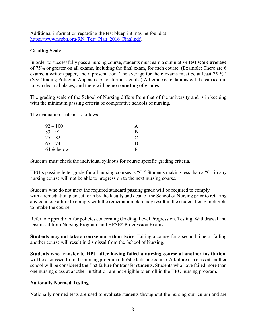Additional information regarding the test blueprint may be found at https://www.ncsbn.org/RN\_Test\_Plan\_2016\_Final.pdf.

#### <span id="page-17-0"></span>**Grading Scale**

In order to successfully pass a nursing course, students must earn a cumulative **test score average**  of 75% or greater on all exams, including the final exam, for each course. (Example: There are 6 exams, a written paper, and a presentation. The average for the 6 exams must be at least 75 %.) (See Grading Policy in Appendix A for further details.) All grade calculations will be carried out to two decimal places, and there will be **no rounding of grades**.

The grading scale of the School of Nursing differs from that of the university and is in keeping with the minimum passing criteria of comparative schools of nursing.

The evaluation scale is as follows:

| $92 - 100$ |   |
|------------|---|
| $83 - 91$  | R |
| $75 - 82$  | € |
| $65 - 74$  | Ð |
| 64 & below | F |

Students must check the individual syllabus for course specific grading criteria.

HPU's passing letter grade for all nursing courses is "C." Students making less than a "C" in any nursing course will not be able to progress on to the next nursing course.

Students who do not meet the required standard passing grade will be required to comply with a remediation plan set forth by the faculty and dean of the School of Nursing prior to retaking any course. Failure to comply with the remediation plan may result in the student being ineligible to retake the course.

Refer to Appendix A for policies concerning Grading, Level Progression, Testing, Withdrawal and Dismissal from Nursing Program, and HESI® Progression Exams.

**Students may not take a course more than twice**. Failing a course for a second time or failing another course will result in dismissal from the School of Nursing.

**Students who transfer to HPU after having failed a nursing course at another institution,**  will be dismissed from the nursing program if he/she fails one course. A failure in a class at another school will be considered the first failure for transfer students. Students who have failed more than one nursing class at another institution are not eligible to enroll in the HPU nursing program.

#### **Nationally Normed Testing**

Nationally normed tests are used to evaluate students throughout the nursing curriculum and are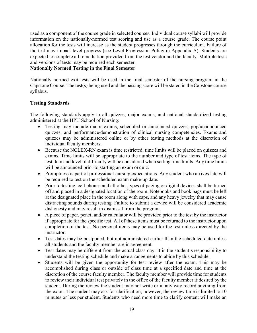used as a component of the course grade in selected courses. Individual course syllabi will provide information on the nationally-normed test scoring and use as a course grade. The course point allocation for the tests will increase as the student progresses through the curriculum. Failure of the test may impact level progress (see Level Progression Policy in Appendix A). Students are expected to complete all remediation provided from the test vendor and the faculty. Multiple tests and versions of tests may be required each semester.

#### **Nationally Normed Testing in the Final Semester**

Nationally normed exit tests will be used in the final semester of the nursing program in the Capstone Course. The test(s) being used and the passing score will be stated in the Capstone course syllabus.

#### **Testing Standards**

The following standards apply to all quizzes, major exams, and national standardized testing administered at the HPU School of Nursing:

- Testing may include major exams, scheduled or announced quizzes, pop/unannounced quizzes, and performance/demonstration of clinical nursing competencies. Exams and quizzes may be administered online or by other testing methods at the discretion of individual faculty members.
- Because the NCLEX-RN exam is time restricted, time limits will be placed on quizzes and exams. Time limits will be appropriate to the number and type of test items. The type of test item and level of difficulty will be considered when setting time limits. Any time limits will be announced prior to starting an exam or quiz.
- Promptness is part of professional nursing expectations. Any student who arrives late will be required to test on the scheduled exam make-up date.
- Prior to testing, cell phones and all other types of paging or digital devices shall be turned off and placed in a designated location of the room. Notebooks and book bags must be left at the designated place in the room along with caps, and any heavy jewelry that may cause distracting sounds during testing. Failure to submit a device will be considered academic dishonesty and may result in dismissal from the program.
- A piece of paper, pencil and/or calculator will be provided prior to the test by the instructor if appropriate for the specific test. All of these items must be returned to the instructor upon completion of the test. No personal items may be used for the test unless directed by the instructor.
- Test dates may be postponed, but not administered earlier than the scheduled date unless all students and the faculty member are in agreement.
- Test dates may be different from the actual class day. It is the student's responsibility to understand the testing schedule and make arrangements to abide by this schedule.
- Students will be given the opportunity for test review after the exam. This may be accomplished during class or outside of class time at a specified date and time at the discretion of the course faculty member. The faculty member will provide time for students to review their individual test privately in the office of the faculty member if desired by the student. During the review the student may not write or in any way record anything from the exam. The student may ask for clarification; however, the review time is limited to 10 minutes or less per student. Students who need more time to clarify content will make an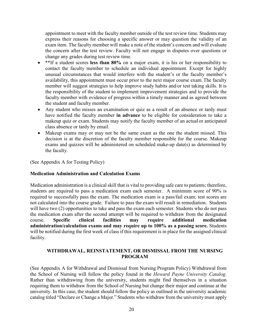appointment to meet with the faculty member outside of the test review time. Students may express their reasons for choosing a specific answer or may question the validity of an exam item. The faculty member will make a note of the student's concern and will evaluate the concern after the test review. Faculty will not engage in disputes over questions or change any grades during test review time.

- \*\*If a student scores **less than 80%** on a major exam, it is his or her responsibility to contact the faculty member to schedule an individual appointment. Except for highly unusual circumstances that would interfere with the student's or the faculty member's availability, this appointment must occur prior to the next major course exam.The faculty member will suggest strategies to help improve study habits and/or test taking skills. It is the responsibility of the student to implement improvement strategies and to provide the faculty member with evidence of progress within a timely manner and as agreed between the student and faculty member.
- Any student who misses an examination or quiz as a result of an absence or tardy must have notified the faculty member **in advance** to be eligible for consideration to take a makeup quiz or exam. Students may notify the faculty member of an actual or anticipated class absence or tardy by email.
- Makeup exams may or may not be the same exam as the one the student missed. This decision is at the discretion of the faculty member responsible for the course. Makeup exams and quizzes will be administered on scheduled make-up date(s) as determined by the faculty.

(See Appendix A for Testing Policy)

#### **Medication Administration and Calculation Exams**

Medication administration is a clinical skill that is vital to providing safe care to patients; therefore, students are required to pass a medication exam each semester. A minimum score of 90% is required to successfully pass the exam. The medication exam is a pass/fail exam; test scores are not calculated into the course grade. Failure to pass the exam will result in remediation. Students will have two (2) opportunities to take and pass the exam each semester. Students who do not pass the medication exam after the second attempt will be required to withdraw from the designated course. **Specific clinical facilities may require additional medication administration/calculation exams and may require up to 100% as a passing score.** Students will be notified during the first week of class if this requirement is in place for the assigned clinical facility.

#### <span id="page-19-0"></span>**WITHDRAWAL, REINSTATEMENT, OR DISMISSAL FROM THE NURSING PROGRAM**

(See Appendix A for Withdrawal and Dismissal from Nursing Program Policy) Withdrawal from the School of Nursing will follow the policy found in the *Howard Payne University Catalog*. Rather than withdrawing from the university, students might find themselves in a situation requiring them to withdraw from the School of Nursing but change their major and continue at the university. In this case, the student should follow the policy as outlined in the university academic catalog titled "Declare or Change a Major." Students who withdraw from the university must apply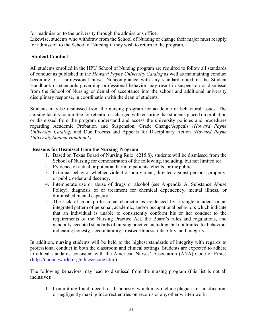for readmission to the university through the admissions office.

Likewise, students who withdraw from the School of Nursing or change their major must reapply for admission to the School of Nursing if they wish to return to the program.

#### <span id="page-20-0"></span>**Student Conduct**

All students enrolled in the HPU School of Nursing program are required to follow all standards of conduct as published in the *Howard Payne University Catalog* as well as maintaining conduct becoming of a professional nurse. Noncompliance with any standard noted in the Student Handbook or standards governing professional behavior may result in suspension or dismissal from the School of Nursing or denial of acceptance into the school and additional university disciplinary response, in coordination with the dean of students.

Students may be dismissed from the nursing program for academic or behavioral issues. The nursing faculty committee for retention is charged with ensuring that students placed on probation or dismissed from the program understand and access the university policies and procedures regarding Academic Probation and Suspension, Grade Change/Appeals *(Howard Payne University Catalog)* and Due Process and Appeals for Disciplinary Action *(Howard Payne University Student Handbook).*

#### <span id="page-20-1"></span>**Reasons for Dismissal from the Nursing Program**

- 1. Based on Texas Board of Nursing Rule (§215.8), students will be dismissed from the School of Nursing for demonstration of the following, including, but not limited to:
- 2. Evidence of actual or potential harm to patients, clients, or the public.
- 3. Criminal behavior whether violent or non-violent, directed against persons, property, or public order and decency.
- 4. Intemperate use or abuse of drugs or alcohol (see Appendix A: Substance Abuse Policy), diagnosis of or treatment for chemical dependency, mental illness, or diminished mental capacity.
- 5. The lack of good professional character as evidenced by a single incident or an integrated pattern of personal, academic, and/or occupational behaviors which indicate that an individual is unable to consistently conform his or her conduct to the requirements of the Nursing Practice Act, the Board's rules and regulations, and generally accepted standards of nursing practice including, but not limited to: behaviors indicating honesty, accountability, trustworthiness, reliability, and integrity.

In addition, nursing students will be held to the highest standards of integrity with regards to professional conduct in both the classroom and clinical settings. Students are expected to adhere to ethical standards consistent with the American Nurses' Association (ANA) Code of Ethics [\(http://nursingworld.org/ethics/ecode.htm \)](http://nursingworld.org/ethics/ecode.htm).

The following behaviors may lead to dismissal from the nursing program (this list is not all inclusive):

1. Committing fraud, deceit, or dishonesty, which may include plagiarism, falsification, or negligently making incorrect entries on records or anyother written work.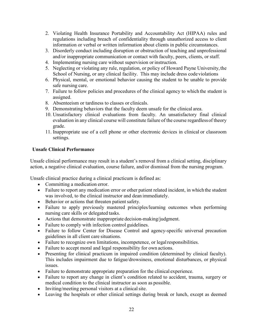- 2. Violating Health Insurance Portability and Accountability Act (HIPAA) rules and regulations including breach of confidentiality through unauthorized access to client information or verbal or written information about clients in public circumstances.
- 3. Disorderly conduct including disruption or obstruction of teaching and unprofessional and/or inappropriate communication or contact with faculty, peers, clients, or staff.
- 4. Implementing nursing care without supervision or instruction.
- 5. Neglecting or violating any rule, regulation, or policy of Howard Payne University,the School of Nursing, or any clinical facility. This may include dress code violations
- 6. Physical, mental, or emotional behavior causing the student to be unable to provide safe nursing care.
- 7. Failure to follow policies and procedures of the clinical agency to which the student is assigned.
- 8. Absenteeism or tardiness to classes or clinicals.
- 9. Demonstrating behaviors that the faculty deem unsafe for the clinical area.
- 10. Unsatisfactory clinical evaluations from faculty. An unsatisfactory final clinical evaluation in any clinical course will constitute failure of the course regardlessof theory grade.
- 11. Inappropriate use of a cell phone or other electronic devices in clinical or classroom settings.

#### <span id="page-21-0"></span>**Unsafe Clinical Performance**

Unsafe clinical performance may result in a student's removal from a clinical setting, disciplinary action, a negative clinical evaluation, course failure, and/or dismissal from the nursing program.

Unsafe clinical practice during a clinical practicum is defined as:

- Committing a medication error.
- Failure to report any medication error or other patient related incident, in which the student was involved, to the clinical instructor and dean immediately.
- Behavior or actions that threaten patient safety.
- Failure to apply previously mastered principles/learning outcomes when performing nursing care skills or delegated tasks.
- Actions that demonstrate inappropriate decision-making/judgment.
- Failure to comply with infection control guidelines.
- Failure to follow Center for Disease Control and agency-specific universal precaution guidelines in all client care situations.
- Failure to recognize own limitations, incompetence, or legal responsibilities.
- Failure to accept moral and legal responsibility for own actions.
- Presenting for clinical practicum in impaired condition (determined by clinical faculty). This includes impairment due to fatigue/drowsiness, emotional disturbances, or physical issues.
- Failure to demonstrate appropriate preparation for the clinical experience.
- Failure to report any change in client's condition related to accident, trauma, surgery or medical condition to the clinical instructor as soon as possible.
- Inviting/meeting personal visitors at a clinical site.
- Leaving the hospitals or other clinical settings during break or lunch, except as deemed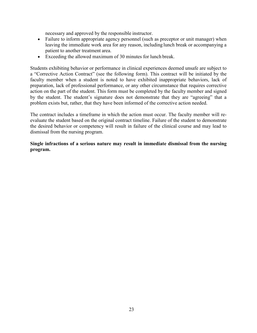necessary and approved by the responsible instructor.

- Failure to inform appropriate agency personnel (such as preceptor or unit manager) when leaving the immediate work area for any reason, including lunch break or accompanying a patient to another treatment area.
- Exceeding the allowed maximum of 30 minutes for lunch break.

Students exhibiting behavior or performance in clinical experiences deemed unsafe are subject to a "Corrective Action Contract" (see the following form). This contract will be initiated by the faculty member when a student is noted to have exhibited inappropriate behaviors, lack of preparation, lack of professional performance, or any other circumstance that requires corrective action on the part of the student. This form must be completed by the faculty member and signed by the student. The student's signature does not demonstrate that they are "agreeing" that a problem exists but, rather, that they have been informed of the corrective action needed.

The contract includes a timeframe in which the action must occur. The faculty member will reevaluate the student based on the original contract timeline. Failure of the student to demonstrate the desired behavior or competency will result in failure of the clinical course and may lead to dismissal from the nursing program.

#### **Single infractions of a serious nature may result in immediate dismissal from the nursing program.**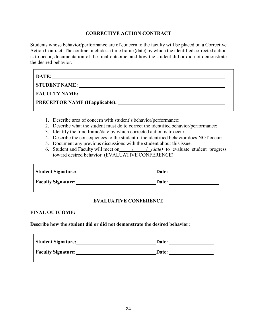#### **CORRECTIVE ACTION CONTRACT**

<span id="page-23-0"></span>Students whose behavior/performance are of concern to the faculty will be placed on a Corrective Action Contract. The contract includes a time frame (date) by which the identified corrected action is to occur, documentation of the final outcome, and how the student did or did not demonstrate the desired behavior.

| DATE:                                  |  |
|----------------------------------------|--|
| <b>STUDENT NAME:</b>                   |  |
| <b>FACULTY NAME:</b>                   |  |
| <b>PRECEPTOR NAME (If applicable):</b> |  |

- 1. Describe area of concern with student's behavior/performance:
- 2. Describe what the student must do to correct the identified behavior/performance:
- 3. Identify the time frame/date by which corrected action is to occur:
- 4. Describe the consequences to the student if the identified behavior does NOT occur:
- 5. Document any previous discussions with the student about this issue.
- 6. Student and Faculty will meet on / / *(date)* to evaluate student progress toward desired behavior. (EVALUATIVE CONFERENCE)

| <b>Student Signature:</b> | Date: |  |
|---------------------------|-------|--|
| <b>Faculty Signature:</b> | Date: |  |

#### **EVALUATIVE CONFERENCE**

#### **FINAL OUTCOME:**

**Describe how the student did or did not demonstrate the desired behavior:**

| <b>Student Signature:</b> | Date: |
|---------------------------|-------|
| <b>Faculty Signature:</b> | Date: |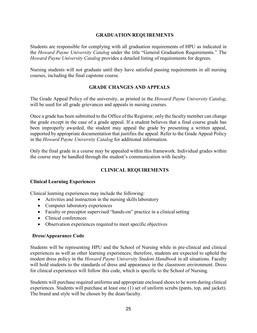#### **GRADUATION REQUIREMENTS**

<span id="page-24-0"></span>Students are responsible for complying with all graduation requirements of HPU as indicated in the *Howard Payne University Catalog* under the title "General Graduation Requirements." The *Howard Payne University Catalog* provides a detailed listing of requirements for degrees.

Nursing students will not graduate until they have satisfied passing requirements in all nursing courses, including the final capstone course.

#### **GRADE CHANGES AND APPEALS**

<span id="page-24-1"></span>The Grade Appeal Policy of the university, as printed in the *Howard Payne University Catalog*, will be used for all grade grievances and appeals in nursing courses.

Once a grade has been submitted to the Office of the Registrar, only the faculty member can change the grade except in the case of a grade appeal. If a student believes that a final course grade has been improperly awarded, the student may appeal the grade by presenting a written appeal, supported by appropriate documentation that justifies the appeal. Refer to the Grade Appeal Policy in the *Howard Payne University Catalog* for additional information.

Only the final grade in a course may be appealed within this framework. Individual grades within the course may be handled through the student's communication with faculty.

#### **CLINICAL REQUIREMENTS**

#### <span id="page-24-3"></span><span id="page-24-2"></span>**Clinical Learning Experiences**

Clinical learning experiences may include the following:

- $\bullet$  Activities and instruction in the nursing skills laboratory
- Computer laboratory experiences
- Faculty or preceptor supervised "hands-on" practice in a clinical setting
- Clinical conferences
- Observation experiences required to meet specific objectives

#### <span id="page-24-4"></span>**Dress/Appearance Code**

Students will be representing HPU and the School of Nursing while in pre-clinical and clinical experiences as well as other learning experiences; therefore, students are expected to uphold the modest dress policy in the *Howard Payne University Student Handbook* in all situations. Faculty will hold students to the standards of dress and appearance in the classroom environment. Dress for clinical experiences will follow this code, which is specific to the School of Nursing.

Students will purchase required uniforms and appropriate enclosed shoes to be worn during clinical experiences. Students will purchase at least one (1) set of uniform scrubs (pants, top, and jacket). The brand and style will be chosen by the dean/faculty.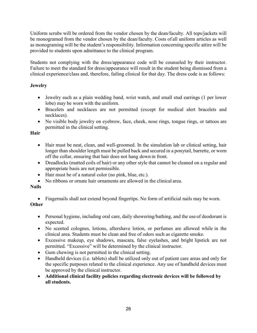Uniform scrubs will be ordered from the vendor chosen by the dean/faculty. All tops/jackets will be monogramed from the vendor chosen by the dean/faculty. Costs of all uniform articles as well as monograming will be the student's responsibility. Information concerning specific attire will be provided to students upon admittance to the clinical program.

Students not complying with the dress/appearance code will be counseled by their instructor. Failure to meet the standard for dress/appearance will result in the student being dismissed from a clinical experience/class and, therefore, failing clinical for that day. The dress code is as follows:

#### **Jewelry**

- Jewelry such as a plain wedding band, wrist watch, and small stud earrings (1 per lower lobe) may be worn with the uniform.
- Bracelets and necklaces are not permitted (except for medical alert bracelets and necklaces).
- No visible body jewelry on eyebrow, face, cheek, nose rings, tongue rings, or tattoos are permitted in the clinical setting.

#### **Hair**

- Hair must be neat, clean, and well-groomed. In the simulation lab or clinical setting, hair longer than shoulder length must be pulled back and secured in a ponytail, barrette, or worn off the collar, ensuring that hair does not hang down in front.
- Dreadlocks (matted coils of hair) or any other style that cannot be cleaned on a regular and appropriate basis are not permissible.
- Hair must be of a natural color (no pink, blue, etc.).
- No ribbons or ornate hair ornaments are allowed in the clinical area.

#### **Nails**

• Fingernails shall not extend beyond fingertips. No form of artificial nails may be worn.

#### **Other**

- Personal hygiene, including oral care, daily showering/bathing, and the use of deodorant is expected.
- No scented colognes, lotions, aftershave lotion, or perfumes are allowed while in the clinical area. Students must be clean and free of odors such as cigarette smoke.
- Excessive makeup, eye shadows, mascara, false eyelashes, and bright lipstick are not permitted. "Excessive" will be determined by the clinical instructor.
- Gum chewing is not permitted in the clinical setting.
- Handheld devices (i.e. tablets) shall be utilized only out of patient care areas and only for the specific purposes related to the clinical experience. Any use of handheld devices must be approved by the clinical instructor.
- **Additional clinical facility policies regarding electronic devices will be followed by all students.**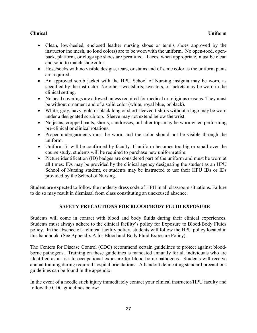#### **Clinical Uniform**

- Clean, low-heeled, enclosed leather nursing shoes or tennis shoes approved by the instructor (no mesh, no loud colors) are to be worn with the uniform. No open-toed, openback, platform, or clog-type shoes are permitted. Laces, when appropriate, must be clean and solid to match shoe color.
- Hose/socks with no visible designs, tears, or stains and of same color as the uniform pants are required.
- An approved scrub jacket with the HPU School of Nursing insignia may be worn, as specified by the instructor. No other sweatshirts, sweaters, or jackets may be worn in the clinical setting.
- No head coverings are allowed unless required for medical or religious reasons. They must be without ornament and of a solid color (white, royal blue, or black).
- White, gray, navy, gold or black long or short sleeved t-shirts without a logo may be worn under a designated scrub top. Sleeve may not extend below the wrist.
- No jeans, cropped pants, shorts, sundresses, or halter tops may be worn when performing pre-clinical or clinical rotations.
- Proper undergarments must be worn, and the color should not be visible through the uniform.
- Uniform fit will be confirmed by faculty. If uniform becomes too big or small over the course study, students will be required to purchase new uniformattire.
- Picture identification (ID) badges are considered part of the uniform and must be worn at all times. IDs may be provided by the clinical agency designating the student as an HPU School of Nursing student, or students may be instructed to use their HPU IDs or IDs provided by the School of Nursing.

Student are expected to follow the modesty dress code of HPU in all classroom situations. Failure to do so may result in dismissal from class constituting an unexcused absence.

#### **SAFETY PRECAUTIONS FOR BLOOD/BODY FLUID EXPOSURE**

<span id="page-26-0"></span>Students will come in contact with blood and body fluids during their clinical experiences. Students must always adhere to the clinical facility's policy for Exposure to Blood/Body Fluids policy. In the absence of a clinical facility policy, students will follow the HPU policy located in this handbook. (See Appendix A for Blood and Body Fluid Exposure Policy).

The Centers for Disease Control (CDC) recommend certain guidelines to protect against bloodborne pathogens. Training on these guidelines is mandated annually for all individuals who are identified as at-risk to occupational exposure for blood-borne pathogens. Students will receive annual training during required hospital orientations. A handout delineating standard precautions guidelines can be found in the appendix.

In the event of a needle stick injury immediately contact your clinical instructor/HPU faculty and follow the CDC guidelines below: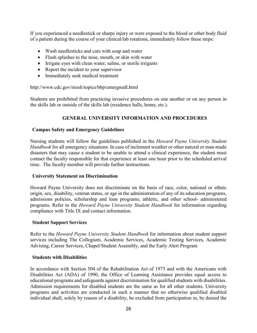If you experienced a needlestick or sharps injury or were exposed to the blood or other body fluid of a patient during the course of your clinical/lab rotations, immediately follow these steps:

- Wash needlesticks and cuts with soap and water
- Flush splashes to the nose, mouth, or skin with water
- Irrigate eyes with clean water, saline, or sterile irrigants
- Report the incident to your supervisor
- Immediately seek medical treatment

http://www.cdc.gov/niosh/topics/bbp/emergnedl.html

Students are prohibited from practicing invasive procedures on one another or on any person in the skills lab or outside of the skills lab (residence halls, home, etc.).

#### **GENERAL UNIVERSITY INFORMATION AND PROCEDURES**

#### <span id="page-27-1"></span><span id="page-27-0"></span>**Campus Safety and Emergency Guidelines**

Nursing students will follow the guidelines published in the *Howard Payne University Student Handbook* for all emergency situations. In case of inclement weather or other natural or man-made disasters that may cause a student to be unable to attend a clinical experience, the student must contact the faculty responsible for that experience at least one hour prior to the scheduled arrival time. The faculty member will provide further instructions.

#### <span id="page-27-2"></span>**University Statement on Discrimination**

Howard Payne University does not discriminate on the basis of race, color, national or ethnic origin, sex, disability, veteran status, or age in the administration of any of its education programs, admissions policies, scholarship and loan programs, athletic, and other school- administered programs. Refer to the *Howard Payne University Student Handbook* for information regarding compliance with Title IX and contact information.

#### <span id="page-27-3"></span>**Student Support Services**

Refer to the *Howard Payne University Student Handbook* for information about student support services including The Collegium, Academic Services, Academic Testing Services, Academic Advising, Career Services, Chapel/Student Assembly, and the Early Alert Program

#### <span id="page-27-4"></span>**Students with Disabilities**

In accordance with Section 504 of the Rehabilitation Act of 1973 and with the Americans with Disabilities Act (ADA) of 1990, the Office of Learning Assistance provides equal access to educational programs and safeguards against discrimination for qualified students with disabilities. Admission requirements for disabled students are the same as for all other students. University programs and activities are conducted in such a manner that no otherwise qualified disabled individual shall, solely by reason of a disability, be excluded from participation in, be denied the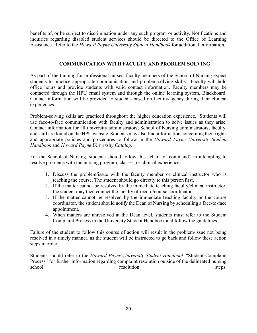benefits of, or be subject to discrimination under any such program or activity. Notifications and inquiries regarding disabled student services should be directed to the Office of Learning Assistance. Refer to the *Howard Payne University Student Handbook* for additional information.

#### **COMMUNICATION WITH FACULTY AND PROBLEM SOLVING**

<span id="page-28-0"></span>As part of the training for professional nurses, faculty members of the School of Nursing expect students to practice appropriate communication and problem-solving skills. Faculty will hold office hours and provide students with valid contact information. Faculty members may be contacted through the HPU email system and through the online learning system, Blackboard. Contact information will be provided to students based on facility/agency during their clinical experiences.

Problem-solving skills are practiced throughout the higher education experience. Students will use face-to-face communication with faculty and administration to solve issues as they arise. Contact information for all university administrators, School of Nursing administrators, faculty, and staff are found on the HPU website. Students may also find information concerning their rights and appropriate policies and procedures to follow in the *Howard Payne University Student Handbook* and *Howard Payne University Catalog*.

For the School of Nursing, students should follow this "chain of command" in attempting to resolve problems with the nursing program, classes, or clinical experiences:

- 1. Discuss the problem/issue with the faculty member or clinical instructor who is teaching the course. The student should go directly to this person first.
- 2. If the matter cannot be resolved by the immediate teaching faculty/clinical instructor, the student may then contact the faculty of record/course coordinator.
- 3. If the matter cannot be resolved by the immediate teaching faculty or the course coordinator, the student should notify the Dean of Nursing by scheduling a face-to-face appointment.
- 4. When matters are unresolved at the Dean level, students must refer to the Student Complaint Process in the University Student Handbook and follow the guidelines.

Failure of the student to follow this course of action will result in the problem/issue not being resolved in a timely manner, as the student will be instructed to go back and follow these action steps in order.

Students should refer to the *Howard Payne University Student Handbook* "Student Complaint Process" for further information regarding complaint resolution outside of the delineated nursing school resolution steps.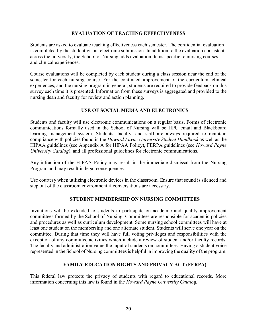#### **EVALUATION OF TEACHING EFFECTIVENESS**

<span id="page-29-0"></span>Students are asked to evaluate teaching effectiveness each semester. The confidential evaluation is completed by the student via an electronic submission. In addition to the evaluation consistent across the university, the School of Nursing adds evaluation items specific to nursing courses and clinical experiences.

Course evaluations will be completed by each student during a class session near the end of the semester for each nursing course. For the continued improvement of the curriculum, clinical experiences, and the nursing program in general, students are required to provide feedback on this survey each time it is presented. Information from these surveys is aggregated and provided to the nursing dean and faculty for review and action planning.

#### **USE OF SOCIAL MEDIA AND ELECTRONICS**

<span id="page-29-1"></span>Students and faculty will use electronic communications on a regular basis. Forms of electronic communications formally used in the School of Nursing will be HPU email and Blackboard learning management system. Students, faculty, and staff are always required to maintain compliance with policies found in the *Howard Payne University Student Handbook* as well as the HIPAA guidelines (see Appendix A for HIPAA Policy), FERPA guidelines (see *Howard Payne University Catalog*), and all professional guidelines for electronic communications.

Any infraction of the HIPAA Policy may result in the immediate dismissal from the Nursing Program and may result in legal consequences.

Use courtesy when utilizing electronic devices in the classroom. Ensure that sound is silenced and step out of the classroom environment if conversations are necessary.

#### **STUDENT MEMBERSHIP ON NURSING COMMITTEES**

<span id="page-29-2"></span>Invitations will be extended to students to participate on academic and quality improvement committees formed by the School of Nursing. Committees are responsible for academic policies and procedures as well as curriculum development. Some nursing school committees will have at least one student on the membership and one alternate student. Students will serve one year on the committee. During that time they will have full voting privileges and responsibilities with the exception of any committee activities which include a review of student and/or faculty records. The faculty and administration value the input of students on committees. Having a student voice represented in the School of Nursing committees is helpful in improving the quality of the program.

#### **FAMILY EDUCATION RIGHTS AND PRIVACY ACT (FERPA)**

<span id="page-29-3"></span>This federal law protects the privacy of students with regard to educational records. More information concerning this law is found in the *Howard Payne University Catalog.*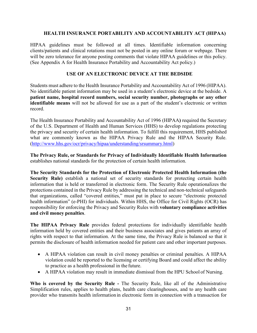#### **HEALTH INSURANCE PORTABILITY AND ACCOUNTABILITY ACT (HIPAA)**

<span id="page-30-0"></span>HIPAA guidelines must be followed at all times. Identifiable information concerning clients/patients and clinical rotations must not be posted in any online forum or webpage. There will be zero tolerance for anyone posting comments that violate HIPAA guidelines or this policy. (See Appendix A for Health Insurance Portability and Accountability Act policy.)

#### **USE OF AN ELECTRONIC DEVICE AT THE BEDSIDE**

<span id="page-30-1"></span>Students must adhere to the Health Insurance Portability and Accountability Act of 1996 (HIPAA). No identifiable patient information may be used in a student's electronic device at the bedside. A **patient name, hospital record numbers, social security number, photographs or any other identifiable means** will not be allowed for use as a part of the student's electronic or written record.

The Health Insurance Portability and Accountability Act of 1996 (HIPAA**)** required the Secretary of the U.S. Department of Health and Human Services (HHS) to develop regulations protecting the privacy and security of certain health information. To fulfill this requirement, HHS published what are commonly known as the HIPAA Privacy Rule and the HIPAA Security Rule. [\(http://www.hhs.gov/ocr/privacy/hipaa/understanding/srsummary.html\)](http://www.hhs.gov/ocr/privacy/hipaa/understanding/srsummary.html)

**The Privacy Rule, or Standards for Privacy of Individually Identifiable Health Information**  establishes national standards for the protection of certain health information.

**The Security Standards for the Protection of Electronic Protected Health Information (the Security Rule)** establish a national set of security standards for protecting certain health information that is held or transferred in electronic form. The Security Rule operationalizes the protections contained in the Privacy Rule by addressing the technical and non-technical safeguards that organizations, called "covered entities," must put in place to secure "electronic protected health information" (e-PHI) for individuals. Within HHS, the Office for Civil Rights (OCR) has responsibility for enforcing the Privacy and Security Rules with **voluntary compliance activities and civil money penalties**.

**The HIPAA Privacy Rule** provides federal protections for individually identifiable health information held by covered entities and their business associates and gives patients an array of rights with respect to that information. At the same time, the Privacy Rule is balanced so that it permits the disclosure of health information needed for patient care and other important purposes.

- A HIPAA violation can result in civil money penalties or criminal penalties. A HIPAA violation could be reported to the licensing or certifying Board and could affect the ability to practice as a health professional in the future.
- A HIPAA violation may result in immediate dismissal from the HPU School of Nursing.

**Who is covered by the Security Rule -** The Security Rule, like all of the Administrative Simplification rules, applies to health plans, health care clearinghouses, and to any health care provider who transmits health information in electronic form in connection with a transaction for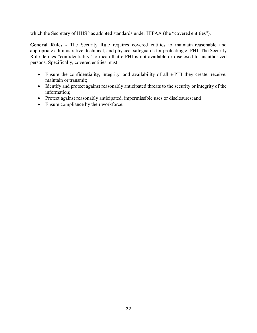which the Secretary of HHS has adopted standards under HIPAA (the "covered entities").

**General Rules -** The Security Rule requires covered entities to maintain reasonable and appropriate administrative, technical, and physical safeguards for protecting e- PHI. The Security Rule defines "confidentiality" to mean that e-PHI is not available or disclosed to unauthorized persons. Specifically, covered entities must:

- Ensure the confidentiality, integrity, and availability of all e-PHI they create, receive, maintain or transmit;
- Identify and protect against reasonably anticipated threats to the security or integrity of the information;
- Protect against reasonably anticipated, impermissible uses or disclosures; and
- Ensure compliance by their workforce.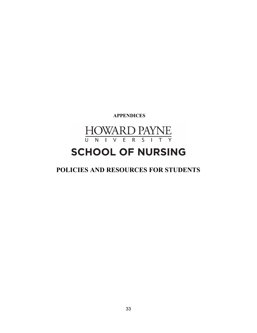**APPENDICES**

<span id="page-32-0"></span>**HOWARD PAYNE** <u>U N I V E R S I T</u>  $\overline{Y}$ 

## **SCHOOL OF NURSING**

**POLICIES AND RESOURCES FOR STUDENTS**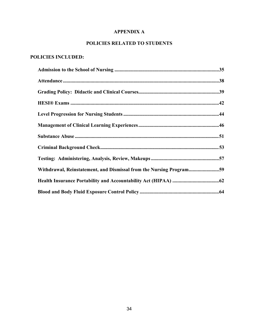#### **APPENDIX A**

#### **POLICIES RELATED TO STUDENTS**

#### **POLICIES INCLUDED:**

| Withdrawal, Reinstatement, and Dismissal from the Nursing Program59 |  |
|---------------------------------------------------------------------|--|
|                                                                     |  |
|                                                                     |  |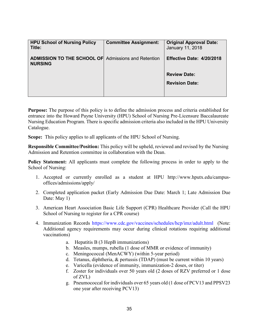| <b>HPU School of Nursing Policy</b><br>Title:                                | <b>Committee Assignment:</b> | <b>Original Approval Date:</b><br>January 11, 2018 |
|------------------------------------------------------------------------------|------------------------------|----------------------------------------------------|
| <b>ADMISSION TO THE SCHOOL OF Admissions and Retention</b><br><b>NURSING</b> |                              | Effective Date: 4/20/2018                          |
|                                                                              |                              | <b>Review Date:</b><br><b>Revision Date:</b>       |

**Purpose:** The purpose of this policy is to define the admission process and criteria established for entrance into the Howard Payne University (HPU) School of Nursing Pre-Licensure Baccalaureate Nursing Education Program. There is specific admission criteria also included in the HPU University Catalogue.

**Scope:** This policy applies to all applicants of the HPU School of Nursing.

**Responsible Committee/Position:** This policy will be upheld, reviewed and revised by the Nursing Admission and Retention committee in collaboration with the Dean.

**Policy Statement:** All applicants must complete the following process in order to apply to the School of Nursing:

- 1. Accepted or currently enrolled as a student at HPU [http://www.hputx.edu/campus](http://www.hputx.edu/campus-offices/admissions/apply/)[offices/admissions/apply/](http://www.hputx.edu/campus-offices/admissions/apply/)
- 2. Completed application packet (Early Admission Due Date: March 1; Late Admission Due Date: May 1)
- 3. American Heart Association Basic Life Support (CPR) Healthcare Provider (Call the HPU School of Nursing to register for a CPR course)
- 4. Immunization Records<https://www.cdc.gov/vaccines/schedules/hcp/imz/adult.html> (Note: Additional agency requirements may occur during clinical rotations requiring additional vaccinations)
	- a. Hepatitis B (3 HepB immunizations)
	- b. Measles, mumps, rubella (1 dose of MMR or evidence of immunity)
	- c. Meningococcal (MenACWY) (within 5-year period)
	- d. Tetanus, diphtheria, & pertussis (TDAP) (must be current within 10 years)
	- e. Varicella (evidence of immunity, immunization-2 doses, or titer)
	- f. Zoster for individuals over 50 years old (2 doses of RZV preferred or 1 dose of ZVL)
	- g. Pneumococcal for individuals over 65 years old (1 dose of PCV13 and PPSV23 one year after receiving PCV13)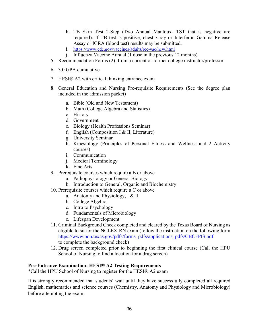- h. TB Skin Test 2-Step (Two Annual Mantoux- TST that is negative are required). If TB test is positive, chest x-ray or Interferon Gamma Release Assay or IGRA (blood test) results may be submitted.
- i. <https://www.cdc.gov/vaccines/adults/rec-vac/hcw.html>
- j. Influenza Vaccine Annual (1 dose in the previous 12 months).
- 5. Recommendation Forms (2); from a current or former college instructor/professor
- 6. 3.0 GPA cumulative
- 7. HESI® A2 with critical thinking entrance exam
- 8. General Education and Nursing Pre-requisite Requirements (See the degree plan included in the admission packet)
	- a. Bible (Old and New Testament)
	- b. Math (College Algebra and Statistics)
	- c. History
	- d. Government
	- e. Biology (Health Professions Seminar)
	- f. English (Composition I & II, Literature)
	- g. University Seminar
	- h. Kinesiology (Principles of Personal Fitness and Wellness and 2 Activity courses)
	- i. Communication
	- j. Medical Terminology
	- k. Fine Arts
- 9. Prerequisite courses which require a B or above
	- a. Pathophysiology or General Biology
	- b. Introduction to General, Organic and Biochemistry
- 10. Prerequisite courses which require a C or above
	- a. Anatomy and Physiology, I & II
	- b. College Algebra
	- c. Intro to Psychology
	- d. Fundamentals of Microbiology
	- e. Lifespan Development
- 11. Criminal Background Check completed and cleared by the Texas Board of Nursing as eligible to sit for the NCLEX-RN exam (follow the instruction on the following form [https://www.bon.texas.gov/pdfs/forms\\_pdfs/applications\\_pdfs/CBCFPIS.pdf](https://www.bon.texas.gov/pdfs/forms_pdfs/applications_pdfs/CBCFPIS.pdf) to complete the background check)
- 12. Drug screen completed prior to beginning the first clinical course (Call the HPU School of Nursing to find a location for a drug screen)

#### **Pre-Entrance Examination: HESI® A2 Testing Requirements**

\*Call the HPU School of Nursing to register for the HESI® A2 exam

It is strongly recommended that students' wait until they have successfully completed all required English, mathematics and science courses (Chemistry, Anatomy and Physiology and Microbiology) before attempting the exam.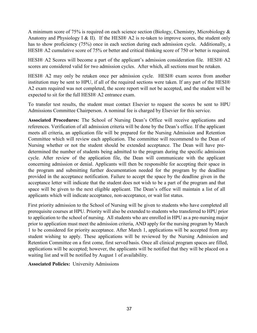A minimum score of 75% is required on each science section (Biology, Chemistry, Microbiology  $\&$ Anatomy and Physiology I & II). If the HESI® A2 is re-taken to improve scores, the student only has to show proficiency (75%) once in each section during each admission cycle. Additionally, a HESI® A2 cumulative score of 75% or better and critical thinking score of 750 or better is required.

HESI® A2 Scores will become a part of the applicant's admission consideration file. HESI® A2 scores are considered valid for two admission cycles. After which, all sections must be retaken.

HESI® A2 may only be retaken once per admission cycle. HESI® exam scores from another institution may be sent to HPU, if all of the required sections were taken. If any part of the HESI® A2 exam required was not completed, the score report will not be accepted, and the student will be expected to sit for the full HESI® A2 entrance exam.

To transfer test results, the student must contact Elsevier to request the scores be sent to HPU Admissions Committee Chairperson. A nominal fee is charged by Elsevier for this service.

**Associated Procedures:** The School of Nursing Dean's Office will receive applications and references. Verification of all admission criteria will be done by the Dean's office. If the applicant meets all criteria, an application file will be prepared for the Nursing Admission and Retention Committee which will review each application. The committee will recommend to the Dean of Nursing whether or not the student should be extended acceptance. The Dean will have predetermined the number of students being admitted to the program during the specific admission cycle. After review of the application file, the Dean will communicate with the applicant concerning admission or denial. Applicants will then be responsible for accepting their space in the program and submitting further documentation needed for the program by the deadline provided in the acceptance notification. Failure to accept the space by the deadline given in the acceptance letter will indicate that the student does not wish to be a part of the program and that space will be given to the next eligible applicant. The Dean's office will maintain a list of all applicants which will indicate acceptance, non-acceptance, or wait list status.

First priority admission to the School of Nursing will be given to students who have completed all prerequisite courses at HPU. Priority will also be extended to students who transferred to HPU prior to application to the school of nursing. All students who are enrolled in HPU as a pre-nursing major prior to application must meet the admission criteria, AND apply for the nursing program by March 1 to be considered for priority acceptance. After March 1, applications will be accepted from any student wishing to apply. These applications will be reviewed by the Nursing Admission and Retention Committee on a first come, first served basis. Once all clinical program spaces are filled, applications will be accepted; however, the applicants will be notified that they will be placed on a waiting list and will be notified by August 1 of availability.

**Associated Policies:** University Admissions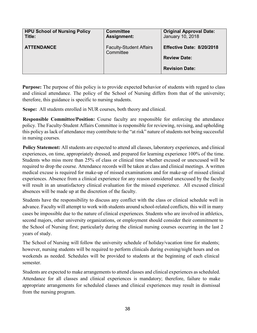| <b>HPU School of Nursing Policy</b><br>Title: | <b>Committee</b><br><b>Assignment:</b>      | <b>Original Approval Date:</b><br>January 10, 2018 |
|-----------------------------------------------|---------------------------------------------|----------------------------------------------------|
| <b>ATTENDANCE</b>                             | <b>Faculty-Student Affairs</b><br>Committee | Effective Date: 8/20/2018                          |
|                                               |                                             | <b>Review Date:</b>                                |
|                                               |                                             | <b>Revision Date:</b>                              |

**Purpose:** The purpose of this policy is to provide expected behavior of students with regard to class and clinical attendance. The policy of the School of Nursing differs from that of the university; therefore, this guidance is specific to nursing students.

**Scope:** All students enrolled in NUR courses, both theory and clinical.

**Responsible Committee/Position:** Course faculty are responsible for enforcing the attendance policy. The Faculty-Student Affairs Committee is responsible for reviewing, revising, and upholding this policy as lack of attendance may contribute to the "at risk" nature of students not being successful in nursing courses.

**Policy Statement:** All students are expected to attend all classes, laboratory experiences, and clinical experiences, on time, appropriately dressed, and prepared for learning experience 100% of the time. Students who miss more than 25% of class or clinical time whether excused or unexcused will be required to drop the course. Attendance records will be taken at class and clinical meetings. A written medical excuse is required for make-up of missed examinations and for make-up of missed clinical experiences. Absence from a clinical experience for any reason considered unexcused by the faculty will result in an unsatisfactory clinical evaluation for the missed experience. All excused clinical absences will be made up at the discretion of the faculty.

Students have the responsibility to discuss any conflict with the class or clinical schedule well in advance. Faculty will attempt to work with students around school-related conflicts, this will in many cases be impossible due to the nature of clinical experiences. Students who are involved in athletics, second majors, other university organizations, or employment should consider their commitment to the School of Nursing first; particularly during the clinical nursing courses occurring in the last 2 years of study.

The School of Nursing will follow the university schedule of holiday/vacation time for students; however, nursing students will be required to perform clinicals during evening/night hours and on weekends as needed. Schedules will be provided to students at the beginning of each clinical semester.

Students are expected to make arrangements to attend classes and clinical experiences as scheduled. Attendance for all classes and clinical experiences is mandatory; therefore, failure to make appropriate arrangements for scheduled classes and clinical experiences may result in dismissal from the nursing program.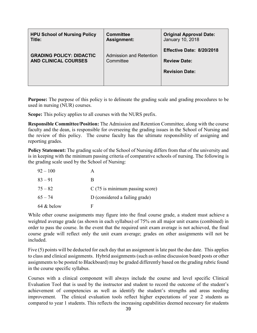| <b>HPU School of Nursing Policy</b><br>Title: | <b>Committee</b><br><b>Assignment:</b> | <b>Original Approval Date:</b><br>January 10, 2018 |
|-----------------------------------------------|----------------------------------------|----------------------------------------------------|
| <b>GRADING POLICY: DIDACTIC</b>               | <b>Admission and Retention</b>         | Effective Date: 8/20/2018                          |
| <b>AND CLINICAL COURSES</b>                   | Committee                              | <b>Review Date:</b>                                |
|                                               |                                        | <b>Revision Date:</b>                              |
|                                               |                                        |                                                    |

**Purpose:** The purpose of this policy is to delineate the grading scale and grading procedures to be used in nursing (NUR) courses.

**Scope:** This policy applies to all courses with the NURS prefix.

**Responsible Committee/Position:** The Admission and Retention Committee, along with the course faculty and the dean, is responsible for overseeing the grading issues in the School of Nursing and the review of this policy. The course faculty has the ultimate responsibility of assigning and reporting grades.

**Policy Statement:** The grading scale of the School of Nursing differs from that of the university and is in keeping with the minimum passing criteria of comparative schools of nursing. The following is the grading scale used by the School of Nursing:

| $92 - 100$ |                                   |
|------------|-----------------------------------|
| $83 - 91$  | В                                 |
| $75 - 82$  | $C(75)$ is minimum passing score) |
| $65 - 74$  | D (considered a failing grade)    |
| 64 & below | F                                 |

While other course assignments may figure into the final course grade, a student must achieve a weighted average grade (as shown in each syllabus) of 75% on all major unit exams (combined) in order to pass the course. In the event that the required unit exam average is not achieved, the final course grade will reflect only the unit exam average; grades on other assignments will not be included.

Five (5) points will be deducted for each day that an assignment is late past the due date. This applies to class and clinical assignments. Hybrid assignments (such as online discussion board posts or other assignments to be posted to Blackboard) may be graded differently based on the grading rubric found in the course specific syllabus.

Courses with a clinical component will always include the course and level specific Clinical Evaluation Tool that is used by the instructor and student to record the outcome of the student's achievement of competencies as well as identify the student's strengths and areas needing improvement. The clinical evaluation tools reflect higher expectations of year 2 students as compared to year 1 students. This reflects the increasing capabilities deemed necessary for students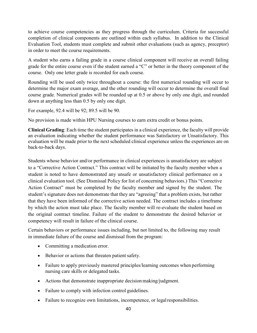to achieve course competencies as they progress through the curriculum. Criteria for successful completion of clinical components are outlined within each syllabus. In addition to the Clinical Evaluation Tool, students must complete and submit other evaluations (such as agency, preceptor) in order to meet the course requirements.

A student who earns a failing grade in a course clinical component will receive an overall failing grade for the entire course even if the student earned a "C" or better in the theory component of the course. Only one letter grade is recorded for each course.

Rounding will be used only twice throughout a course: the first numerical rounding will occur to determine the major exam average, and the other rounding will occur to determine the overall final course grade. Numerical grades will be rounded up at 0.5 or above by only one digit, and rounded down at anything less than 0.5 by only one digit.

For example, 92.4 will be 92; 89.5 will be 90.

No provision is made within HPU Nursing courses to earn extra credit or bonus points.

**Clinical Grading**: Each time the student participates in a clinical experience, the faculty will provide an evaluation indicating whether the student performance was Satisfactory or Unsatisfactory. This evaluation will be made prior to the next scheduled clinical experience unless the experiences are on back-to-back days.

Students whose behavior and/or performance in clinical experiences is unsatisfactory are subject to a "Corrective Action Contract." This contract will be initiated by the faculty member when a student is noted to have demonstrated any unsafe or unsatisfactory clinical performance on a clinical evaluation tool. (See Dismissal Policy for list of concerning behaviors.) This "Corrective Action Contract" must be completed by the faculty member and signed by the student. The student's signature does not demonstrate that they are "agreeing" that a problem exists, but rather that they have been informed of the corrective action needed. The contract includes a timeframe by which the action must take place. The faculty member will re-evaluate the student based on the original contract timeline. Failure of the student to demonstrate the desired behavior or competency will result in failure of the clinical course.

Certain behaviors or performance issues including, but not limited to, the following may result in immediate failure of the course and dismissal from the program:

- Committing a medication error.
- Behavior or actions that threaten patient safety.
- Failure to apply previously mastered principles/learning outcomes when performing nursing care skills or delegated tasks.
- Actions that demonstrate inappropriate decision making/judgment.
- Failure to comply with infection control guidelines.
- Failure to recognize own limitations, incompetence, or legal responsibilities.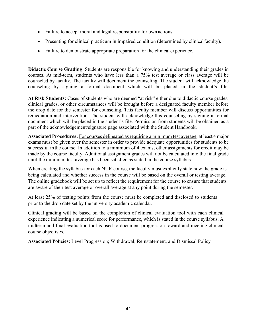- Failure to accept moral and legal responsibility for own actions.
- Presenting for clinical practicum in impaired condition (determined by clinical faculty).
- Failure to demonstrate appropriate preparation for the clinical experience.

**Didactic Course Grading**: Students are responsible for knowing and understanding their grades in courses. At mid-term, students who have less than a 75% test average or class average will be counseled by faculty. The faculty will document the counseling. The student will acknowledge the counseling by signing a formal document which will be placed in the student's file.

**At Risk Students:** Cases of students who are deemed "at risk" either due to didactic course grades, clinical grades, or other circumstances will be brought before a designated faculty member before the drop date for the semester for counseling. This faculty member will discuss opportunities for remediation and intervention. The student will acknowledge this counseling by signing a formal document which will be placed in the student's file. Permission from students will be obtained as a part of the acknowledgement/signature page associated with the Student Handbook.

**Associated Procedures:** For courses delineated as requiring a minimum test average, at least 4 major exams must be given over the semester in order to provide adequate opportunities for students to be successful in the course. In addition to a minimum of 4 exams, other assignments for credit may be made by the course faculty. Additional assignment grades will not be calculated into the final grade until the minimum test average has been satisfied as stated in the course syllabus.

When creating the syllabus for each NUR course, the faculty must explicitly state how the grade is being calculated and whether success in the course will be based on the overall or testing average. The online gradebook will be set up to reflect the requirement for the course to ensure that students are aware of their test average or overall average at any point during the semester.

At least 25% of testing points from the course must be completed and disclosed to students prior to the drop date set by the university academic calendar.

Clinical grading will be based on the completion of clinical evaluation tool with each clinical experience indicating a numerical score for performance, which is stated in the course syllabus. A midterm and final evaluation tool is used to document progression toward and meeting clinical course objectives.

**Associated Policies:** Level Progression; Withdrawal, Reinstatement, and Dismissal Policy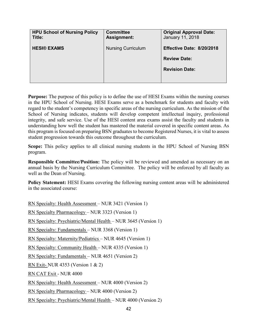| <b>HPU School of Nursing Policy</b><br>Title: | <b>Committee</b><br><b>Assignment:</b> | <b>Original Approval Date:</b><br>January 11, 2018 |
|-----------------------------------------------|----------------------------------------|----------------------------------------------------|
| <b>HESI® EXAMS</b>                            | <b>Nursing Curriculum</b>              | Effective Date: 8/20/2018                          |
|                                               |                                        | <b>Review Date:</b>                                |
|                                               |                                        | <b>Revision Date:</b>                              |
|                                               |                                        |                                                    |

**Purpose:** The purpose of this policy is to define the use of HESI Exams within the nursing courses in the HPU School of Nursing. HESI Exams serve as a benchmark for students and faculty with regard to the student's competency in specific areas of the nursing curriculum. As the mission of the School of Nursing indicates, students will develop competent intellectual inquiry, professional integrity, and safe service. Use of the HESI content area exams assist the faculty and students in understanding how well the student has mastered the material covered in specific content areas. As this program is focused on preparing BSN graduates to become Registered Nurses, it is vital to assess student progression towards this outcome throughout the curriculum.

**Scope:** This policy applies to all clinical nursing students in the HPU School of Nursing BSN program.

**Responsible Committee/Position:** The policy will be reviewed and amended as necessary on an annual basis by the Nursing Curriculum Committee. The policy will be enforced by all faculty as well as the Dean of Nursing.

**Policy Statement:** HESI Exams covering the following nursing content areas will be administered in the associated course:

RN Specialty: Health Assessment – NUR 3421 (Version 1) RN Specialty Pharmacology – NUR 3323 (Version 1) RN Specialty: Psychiatric/Mental Health – NUR 3645 (Version 1) RN Specialty: Fundamentals – NUR 3368 (Version 1) RN Specialty: Maternity/Pediatrics – NUR 4645 (Version 1) RN Specialty: Community Health – NUR 4335 (Version 1) RN Specialty: Fundamentals – NUR 4651 (Version 2) RN Exit- NUR 4353 (Version 1 & 2) RN CAT Exit - NUR 4000 RN Specialty: Health Assessment – NUR 4000 (Version 2) RN Specialty Pharmacology – NUR 4000 (Version 2) RN Specialty: Psychiatric/Mental Health – NUR 4000 (Version 2)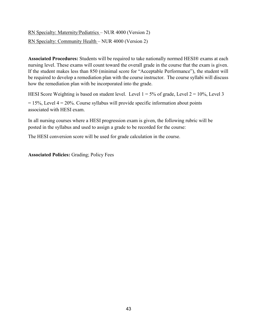RN Specialty: Maternity/Pediatrics – NUR 4000 (Version 2) RN Specialty: Community Health – NUR 4000 (Version 2)

**Associated Procedures:** Students will be required to take nationally normed HESI® exams at each nursing level. These exams will count toward the overall grade in the course that the exam is given. If the student makes less than 850 (minimal score for "Acceptable Performance"), the student will be required to develop a remediation plan with the course instructor. The course syllabi will discuss how the remediation plan with be incorporated into the grade.

HESI Score Weighting is based on student level. Level  $1 = 5\%$  of grade, Level  $2 = 10\%$ , Level 3  $= 15\%$ , Level  $4 = 20\%$ . Course syllabus will provide specific information about points associated with HESI exam.

In all nursing courses where a HESI progression exam is given, the following rubric will be posted in the syllabus and used to assign a grade to be recorded for the course:

The HESI conversion score will be used for grade calculation in the course.

**Associated Policies:** Grading; Policy Fees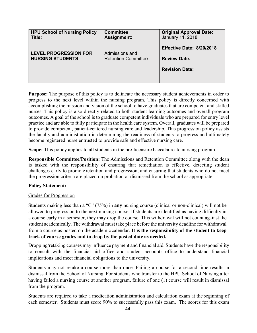| <b>HPU School of Nursing Policy</b><br>Title:           | <b>Committee</b><br><b>Assignment:</b>       | <b>Original Approval Date:</b><br>January 11, 2018                        |
|---------------------------------------------------------|----------------------------------------------|---------------------------------------------------------------------------|
| <b>LEVEL PROGRESSION FOR</b><br><b>NURSING STUDENTS</b> | Admissions and<br><b>Retention Committee</b> | Effective Date: 8/20/2018<br><b>Review Date:</b><br><b>Revision Date:</b> |
|                                                         |                                              |                                                                           |

**Purpose:** The purpose of this policy is to delineate the necessary student achievements in order to progress to the next level within the nursing program. This policy is directly concerned with accomplishing the mission and vision of the school to have graduates that are competent and skilled nurses. This policy is also directly related to both student learning outcomes and overall program outcomes. A goal of the school is to graduate competent individuals who are prepared for entry level practice and are able to fully participate in the health care system. Overall, graduates will be prepared to provide competent, patient-centered nursing care and leadership. This progression policy assists the faculty and administration in determining the readiness of students to progress and ultimately become registered nurse entrusted to provide safe and effective nursing care.

**Scope:** This policy applies to all students in the pre-licensure baccalaureate nursing program.

**Responsible Committee/Position:** The Admissions and Retention Committee along with the dean is tasked with the responsibility of ensuring that remediation is effective, detecting student challenges early to promote retention and progression, and ensuring that students who do not meet the progression criteria are placed on probation or dismissed from the school as appropriate.

#### **Policy Statement:**

#### Grades for Progression

Students making less than a "C" (75%) in **any** nursing course (clinical or non-clinical) will not be allowed to progress on to the next nursing course. If students are identified as having difficulty in a course early in a semester, they may drop the course. This withdrawal will not count against the student academically. The withdrawal must take place before the university deadline for withdrawal from a course as posted on the academic calendar. **It is the responsibility of the student to keep track of course grades and to drop by the posted date as needed.**

Dropping/retaking courses may influence payment and financial aid. Students have the responsibility to consult with the financial aid office and student accounts office to understand financial implications and meet financial obligations to the university.

Students may not retake a course more than once. Failing a course for a second time results in dismissal from the School of Nursing. For students who transfer to the HPU School of Nursing after having failed a nursing course at another program, failure of one (1) course will result in dismissal from the program.

Students are required to take a medication administration and calculation exam at thebeginning of each semester. Students must score 90% to successfully pass this exam. The scores for this exam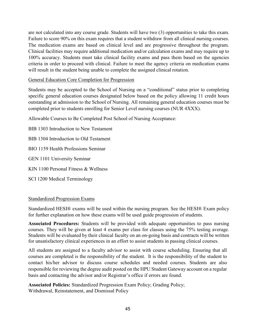are not calculated into any course grade. Students will have two (3) opportunities to take this exam. Failure to score 90% on this exam requires that a student withdraw from all clinical nursing courses. The medication exams are based on clinical level and are progressive throughout the program. Clinical facilities may require additional medication and/or calculation exams and may require up to 100% accuracy. Students must take clinical facility exams and pass them based on the agencies criteria in order to proceed with clinical. Failure to meet the agency criteria on medication exams will result in the student being unable to complete the assigned clinical rotation.

### General Education Core Completion for Progression

Students may be accepted to the School of Nursing on a "conditional" status prior to completing specific general education courses designated below based on the policy allowing 11 credit hours outstanding at admission to the School of Nursing. All remaining general education courses must be completed prior to students enrolling for Senior Level nursing courses (NUR 4XXX).

Allowable Courses to Be Completed Post School of Nursing Acceptance:

BIB 1303 Introduction to New Testament BIB 1304 Introduction to Old Testament BIO 1159 Health Professions Seminar GEN 1101 University Seminar KIN 1100 Personal Fitness & Wellness SCI 1200 Medical Terminology

## Standardized Progression Exams

Standardized HESI® exams will be used within the nursing program. See the HESI® Exam policy for further explanation on how these exams will be used guide progression of students.

**Associated Procedures:** Students will be provided with adequate opportunities to pass nursing courses. They will be given at least 4 exams per class for classes using the 75% testing average. Students will be evaluated by their clinical faculty on an on-going basis and contracts will be written for unsatisfactory clinical experiences in an effort to assist students in passing clinical courses.

All students are assigned to a faculty advisor to assist with course scheduling. Ensuring that all courses are completed is the responsibility of the student. It is the responsibility of the student to contact his/her advisor to discuss course schedules and needed courses. Students are also responsible for reviewing the degree audit posted on the HPU Student Gateway account on a regular basis and contacting the advisor and/or Registrar's office if errors are found.

**Associated Policies:** Standardized Progression Exam Policy; Grading Policy; Withdrawal, Reinstatement, and Dismissal Policy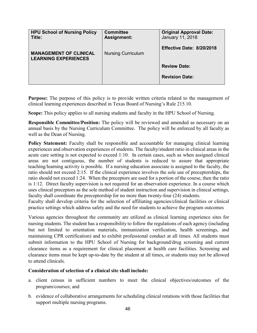| <b>HPU School of Nursing Policy</b><br>Title:                | <b>Committee</b><br>Assignment: | <b>Original Approval Date:</b><br>January 11, 2018 |
|--------------------------------------------------------------|---------------------------------|----------------------------------------------------|
| <b>MANAGEMENT OF CLINICAL</b><br><b>LEARNING EXPERIENCES</b> | <b>Nursing Curriculum</b>       | <b>Effective Date: 8/20/2018</b>                   |
|                                                              |                                 | <b>Review Date:</b>                                |
|                                                              |                                 | <b>Revision Date:</b>                              |

**Purpose:** The purpose of this policy is to provide written criteria related to the management of clinical learning experiences described in Texas Board of Nursing's Rule 215.10.

**Scope:** This policy applies to all nursing students and faculty in the HPU School of Nursing.

**Responsible Committee/Position:** The policy will be reviewed and amended as necessary on an annual basis by the Nursing Curriculum Committee. The policy will be enforced by all faculty as well as the Dean of Nursing.

**Policy Statement:** Faculty shall be responsible and accountable for managing clinical learning experiences and observation experiences of students. The faculty/student ratio in clinical areas in the acute care setting is not expected to exceed 1:10. In certain cases, such as when assigned clinical areas are not contiguous, the number of students is reduced to assure that appropriate teaching/learning activity is possible. If a nursing education associate is assigned to the faculty, the ratio should not exceed 2:15. If the clinical experience involves the sole use of preceptorships, the ratio should not exceed 1:24. When the preceptors are used for a portion of the course, then the ratio is 1:12. Direct faculty supervision is not required for an observation experience. In a course which uses clinical preceptors as the sole method of student instruction and supervision in clinical settings, faculty shall coordinate the preceptorship for no more than twenty-four (24) students.

Faculty shall develop criteria for the selection of affiliating agencies/clinical facilities or clinical practice settings which address safety and the need for students to achieve the program outcomes

Various agencies throughout the community are utilized as clinical learning experience sites for nursing students. The student has a responsibility to follow the regulations of each agency (including but not limited to orientation materials, immunization verification, health screenings, and maintaining CPR certification) and to exhibit professional conduct at all times. All students must submit information to the HPU School of Nursing for background/drug screening and current clearance items as a requirement for clinical placement at health care facilities. Screening and clearance items must be kept up-to-date by the student at all times, or students may not be allowed to attend clinicals.

## **Consideration of selection of a clinical site shall include:**

- a. client census in sufficient numbers to meet the clinical objectives/outcomes of the program/courses; and
- b. evidence of collaborative arrangements for scheduling clinical rotations with those facilities that support multiple nursing programs.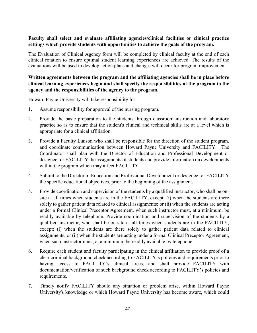## **Faculty shall select and evaluate affiliating agencies/clinical facilities or clinical practice settings which provide students with opportunities to achieve the goals of the program.**

The Evaluation of Clinical Agency form will be completed by clinical faculty at the end of each clinical rotation to ensure optimal student learning experiences are achieved. The results of the evaluations will be used to develop action plans and changes will occur for program improvement.

## **Written agreements between the program and the affiliating agencies shall be in place before clinical learning experiences begin and shall specify the responsibilities of the program to the agency and the responsibilities of the agency to the program.**

Howard Payne University will take responsibility for:

- 1. Assume responsibility for approval of the nursing program.
- 2. Provide the basic preparation to the students through classroom instruction and laboratory practice so as to ensure that the student's clinical and technical skills are at a level which is appropriate for a clinical affiliation.
- 3. Provide a Faculty Liaison who shall be responsible for the direction of the student program, and coordinate communication between Howard Payne University and FACILITY. The Coordinator shall plan with the Director of Education and Professional Development or designee for FACILITY the assignments of students and provide information on developments within the program which may affect FACILITY.
- 4. Submit to the Director of Education and Professional Development or designee for FACILITY the specific educational objectives, prior to the beginning of the assignment.
- 5. Provide coordination and supervision of the students by a qualified instructor, who shall be onsite at all times when students are in the FACILITY, except: (i) when the students are there solely to gather patient data related to clinical assignments; or (ii) when the students are acting under a formal Clinical Preceptor Agreement, when such instructor must, at a minimum, be readily available by telephone. Provide coordination and supervision of the students by a qualified instructor, who shall be on-site at all times when students are in the FACILITY, except: (i) when the students are there solely to gather patient data related to clinical assignments; or (ii) when the students are acting under a formal Clinical Preceptor Agreement, when such instructor must, at a minimum, be readily available by telephone.
- 6. Require each student and faculty participating in the clinical affiliation to provide proof of a clear criminal background check according to FACILITY's policies and requirements prior to having access to FACILITY's clinical areas, and shall provide FACILITY with documentation/verification of such background check according to FACILITY's policies and requirements.
- 7. Timely notify FACILITY should any situation or problem arise, within Howard Payne University's knowledge or which Howard Payne University has become aware, which could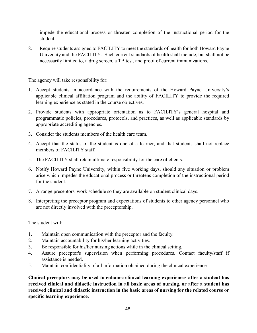impede the educational process or threaten completion of the instructional period for the student.

8. Require students assigned to FACILITY to meet the standards of health for both Howard Payne University and the FACILITY. Such current standards of health shall include, but shall not be necessarily limited to, a drug screen, a TB test, and proof of current immunizations.

The agency will take responsibility for:

- 1. Accept students in accordance with the requirements of the Howard Payne University's applicable clinical affiliation program and the ability of FACILITY to provide the required learning experience as stated in the course objectives.
- 2. Provide students with appropriate orientation as to FACILITY's general hospital and programmatic policies, procedures, protocols, and practices, as well as applicable standards by appropriate accrediting agencies.
- 3. Consider the students members of the health care team.
- 4. Accept that the status of the student is one of a learner, and that students shall not replace members of FACILITY staff.
- 5. The FACILITY shall retain ultimate responsibility for the care of clients.
- 6. Notify Howard Payne University, within five working days, should any situation or problem arise which impedes the educational process or threatens completion of the instructional period for the student.
- 7. Arrange preceptors' work schedule so they are available on student clinical days.
- 8. Interpreting the preceptor program and expectations of students to other agency personnel who are not directly involved with the preceptorship.

The student will:

- 1. Maintain open communication with the preceptor and the faculty.
- 2. Maintain accountability for his/her learning activities.
- 3. Be responsible for his/her nursing actions while in the clinical setting.
- 4. Assure preceptor's supervision when performing procedures. Contact faculty/staff if assistance is needed.
- 5. Maintain confidentiality of all information obtained during the clinical experience.

**Clinical preceptors may be used to enhance clinical learning experiences after a student has received clinical and didactic instruction in all basic areas of nursing, or after a student has received clinical and didactic instruction in the basic areas of nursing for the related course or specific learning experience.**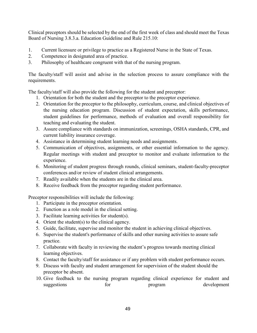Clinical preceptors should be selected by the end of the first week of class and should meet the Texas Board of Nursing 3.8.3.a. Education Guideline and Rule 215.10:

- 1. Current licensure or privilege to practice as a Registered Nurse in the State of Texas.
- 2. Competence in designated area of practice.
- 3. Philosophy of healthcare congruent with that of the nursing program.

The faculty/staff will assist and advise in the selection process to assure compliance with the requirements.

The faculty/staff will also provide the following for the student and preceptor:

- 1. Orientation for both the student and the preceptor to the preceptor experience.
- 2. Orientation for the preceptor to the philosophy, curriculum, course, and clinical objectives of the nursing education program. Discussion of student expectation, skills performance, student guidelines for performance, methods of evaluation and overall responsibility for teaching and evaluating the student.
- 3. Assure compliance with standards on immunization, screenings, OSHA standards, CPR, and current liability insurance coverage.
- 4. Assistance in determining student learning needs and assignments.
- 5. Communication of objectives, assignments, or other essential information to the agency. Regular meetings with student and preceptor to monitor and evaluate information to the experience.
- 6. Monitoring of student progress through rounds, clinical seminars, student-faculty-preceptor conferences and/or review of student clinical arrangements.
- 7. Readily available when the students are in the clinical area.
- 8. Receive feedback from the preceptor regarding student performance.

Preceptor responsibilities will include the following:

- 1. Participate in the preceptor orientation.
- 2. Function as a role model in the clinical setting.
- 3. Facilitate learning activities for student(s).
- 4. Orient the student(s) to the clinical agency.
- 5. Guide, facilitate, supervise and monitor the student in achieving clinical objectives.
- 6. Supervise the student's performance of skills and other nursing activities to assure safe practice.
- 7. Collaborate with faculty in reviewing the student's progress towards meeting clinical learning objectives.
- 8. Contact the faculty/staff for assistance or if any problem with student performance occurs.
- 9. Discuss with faculty and student arrangement for supervision of the student should the preceptor be absent.
- 10. Give feedback to the nursing program regarding clinical experience for student and suggestions for program development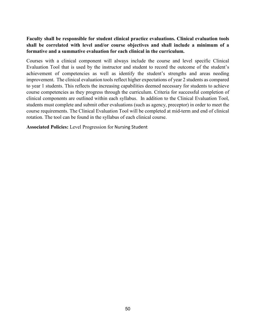## **Faculty shall be responsible for student clinical practice evaluations. Clinical evaluation tools shall be correlated with level and/or course objectives and shall include a minimum of a formative and a summative evaluation for each clinical in the curriculum.**

Courses with a clinical component will always include the course and level specific Clinical Evaluation Tool that is used by the instructor and student to record the outcome of the student's achievement of competencies as well as identify the student's strengths and areas needing improvement. The clinical evaluation tools reflect higher expectations of year 2 students as compared to year 1 students. This reflects the increasing capabilities deemed necessary for students to achieve course competencies as they progress through the curriculum. Criteria for successful completion of clinical components are outlined within each syllabus. In addition to the Clinical Evaluation Tool, students must complete and submit other evaluations (such as agency, preceptor) in order to meet the course requirements. The Clinical Evaluation Tool will be completed at mid-term and end of clinical rotation. The tool can be found in the syllabus of each clinical course.

**Associated Policies:** Level Progression for Nursing Student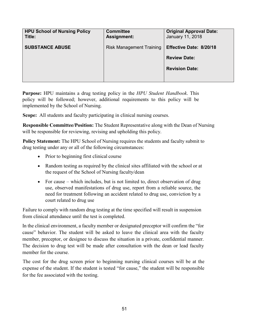| <b>HPU School of Nursing Policy</b><br>Title: | <b>Committee</b><br><b>Assignment:</b> | <b>Original Approval Date:</b><br>January 11, 2018 |
|-----------------------------------------------|----------------------------------------|----------------------------------------------------|
| <b>SUBSTANCE ABUSE</b>                        | <b>Risk Management Training</b>        | Effective Date: 8/20/18                            |
|                                               |                                        | <b>Review Date:</b>                                |
|                                               |                                        | <b>Revision Date:</b>                              |
|                                               |                                        |                                                    |

**Purpose:** HPU maintains a drug testing policy in the *HPU Student Handbook*. This policy will be followed; however, additional requirements to this policy will be implemented by the School of Nursing.

**Scope:** All students and faculty participating in clinical nursing courses.

**Responsible Committee/Position:** The Student Representative along with the Dean of Nursing will be responsible for reviewing, revising and upholding this policy.

**Policy Statement:** The HPU School of Nursing requires the students and faculty submit to drug testing under any or all of the following circumstances:

- Prior to beginning first clinical course
- Random testing as required by the clinical sites affiliated with the school or at the request of the School of Nursing faculty/dean
- For cause which includes, but is not limited to, direct observation of drug use, observed manifestations of drug use, report from a reliable source, the need for treatment following an accident related to drug use, conviction by a court related to drug use

Failure to comply with random drug testing at the time specified will result in suspension from clinical attendance until the test is completed.

In the clinical environment, a faculty member or designated preceptor will confirm the "for cause" behavior. The student will be asked to leave the clinical area with the faculty member, preceptor, or designee to discuss the situation in a private, confidential manner. The decision to drug test will be made after consultation with the dean or lead faculty member for the course.

The cost for the drug screen prior to beginning nursing clinical courses will be at the expense of the student. If the student is tested "for cause," the student will be responsible for the fee associated with the testing.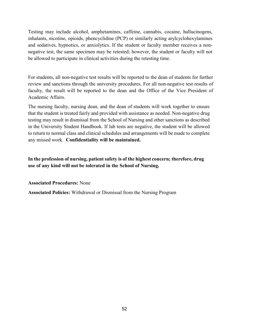Testing may include alcohol, amphetamines, caffeine, cannabis, cocaine, hallucinogens, inhalants, nicotine, opioids, phencyclidine (PCP) or similarly acting arylcyclohexylamines and sedatives, hypnotics, or anxiolytics. If the student or faculty member receives a nonnegative test, the same specimen may be retested; however, the student or faculty will not be allowed to participate in clinical activities during the retesting time.

For students, all non-negative test results will be reported to the dean of students for further review and sanctions through the university procedures. For all non-negative test results of faculty, the result will be reported to the dean and the Office of the Vice President of Academic Affairs.

The nursing faculty, nursing dean, and the dean of students will work together to ensure that the student is treated fairly and provided with assistance as needed. Non-negative drug testing may result in dismissal from the School of Nursing and other sanctions as described in the University Student Handbook. If lab tests are negative, the student will be allowed to return to normal class and clinical schedules and arrangements will be made to complete any missed work. **Confidentiality will be maintained.**

## **In the profession of nursing, patient safety is of the highest concern; therefore, drug use of any kind will not be tolerated in the School of Nursing.**

**Associated Procedures:** None

**Associated Policies:** Withdrawal or Dismissal from the Nursing Program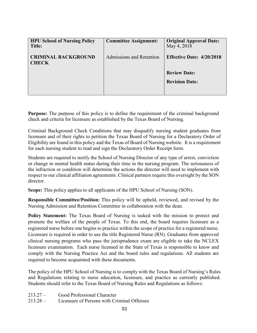| <b>HPU School of Nursing Policy</b><br>Title: | <b>Committee Assignment:</b> | <b>Original Approval Date:</b><br>May 4, 2018 |
|-----------------------------------------------|------------------------------|-----------------------------------------------|
| <b>CRIMINAL BACKGROUND</b><br><b>CHECK</b>    | Admissions and Retention     | <b>Effective Date: 4/20/2018</b>              |
|                                               |                              | <b>Review Date:</b><br><b>Revision Date:</b>  |

**Purpose:** The purpose of this policy is to define the requirement of the criminal background check and criteria for licensure as established by the Texas Board of Nursing.

Criminal Background Check Conditions that may disqualify nursing student graduates from licensure and of their rights to petition the Texas Board of Nursing for a Declaratory Order of Eligibility are found in this policy and the Texas of Board of Nursing website. It is a requirement for each nursing student to read and sign the Declaratory Order Receipt form.

Students are required to notify the School of Nursing Director of any type of arrest, conviction or change in mental health status during their time in the nursing program. The seriousness of the infraction or condition will determine the actions the director will need to implement with respect to our clinical affiliation agreements. Clinical partners require this oversight by the SON director.

**Scope:** This policy applies to all applicants of the HPU School of Nursing (SON).

**Responsible Committee/Position:** This policy will be upheld, reviewed, and revised by the Nursing Admission and Retention Committee in collaboration with the dean.

**Policy Statement:** The Texas Board of Nursing is tasked with the mission to protect and promote the welfare of the people of Texas. To this end, the board requires licensure as a registered nurse before one begins to practice within the scope of practice for a registered nurse. Licensure is required in order to use the title Registered Nurse (RN). Graduates from approved clinical nursing programs who pass the jurisprudence exam are eligible to take the NCLEX licensure examination. Each nurse licensed in the State of Texas is responsible to know and comply with the Nursing Practice Act and the board rules and regulations. All students are required to become acquainted with these documents.

The policy of the HPU School of Nursing is to comply with the Texas Board of Nursing's Rules and Regulations relating to nurse education, licensure, and practice as currently published. Students should refer to the Texas Board of Nursing Rules and Regulations as follows:

| $213.27 -$ | Good Professional Character |  |
|------------|-----------------------------|--|
|------------|-----------------------------|--|

213.28 – Licensure of Persons with Criminal Offenses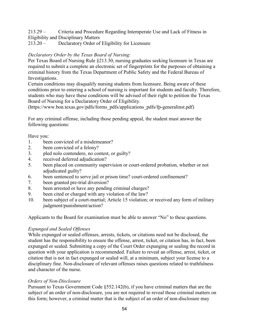213.29 – Criteria and Procedure Regarding Intemperate Use and Lack of Fitness in Eligibility and Disciplinary Matters

213.20 – Declaratory Order of Eligibility for Licensure

# *Declaratory Order by the Texas Board of Nursing:*

Per Texas Board of Nursing Rule §213.30, nursing graduates seeking licensure in Texas are required to submit a complete an electronic set of fingerprints for the purposes of obtaining a criminal history from the Texas Department of Public Safety and the Federal Bureau of Investigations.

Certain conditions may disqualify nursing students from licensure. Being aware of these conditions prior to entering a school of nursing is important for students and faculty. Therefore, students who may have these conditions will be advised of their right to petition the Texas Board of Nursing for a Declaratory Order of Eligibility.

(https://www.bon.texas.gov/pdfs/forms\_pdfs/applications\_pdfs/fp-generalinst.pdf)

For any criminal offense, including those pending appeal, the student must answer the following questions:

Have you:

- 1. been convicted of a misdemeanor?
- 2. been convicted of a felony?
- 3. pled nolo contendere, no contest, or guilty?
- 4. received deferred adjudication?
- 5. been placed on community supervision or court-ordered probation, whether or not adjudicated guilty?
- 6. been sentenced to serve jail or prison time? court-ordered confinement?
- 7. been granted pre-trial diversion?
- 8. been arrested or have any pending criminal charges?
- 9. been cited or charged with any violation of the law?
- 10. been subject of a court-martial; Article 15 violation; or received any form of military judgment/punishment/action?

Applicants to the Board for examination must be able to answer "No" to these questions.

## *Expunged and Sealed Offenses*

While expunged or sealed offenses, arrests, tickets, or citations need not be disclosed, the student has the responsibility to ensure the offense, arrest, ticket, or citation has, in fact, been expunged or sealed. Submitting a copy of the Court Order expunging or sealing the record in question with your application is recommended. Failure to reveal an offense, arrest, ticket, or citation that is not in fact expunged or sealed will, at a minimum, subject your license to a disciplinary fine. Non-disclosure of relevant offenses raises questions related to truthfulness and character of the nurse.

## *Orders of Non-Disclosure*

Pursuant to Texas Government Code §552.142(b), if you have criminal matters that are the subject of an order of non-disclosure, you are not required to reveal those criminal matters on this form; however, a criminal matter that is the subject of an order of non-disclosure may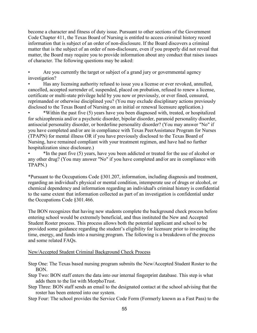become a character and fitness of duty issue. Pursuant to other sections of the Government Code Chapter 411, the Texas Board of Nursing is entitled to access criminal history record information that is subject of an order of non-disclosure. If the Board discovers a criminal matter that is the subject of an order of non-disclosure, even if you properly did not reveal that matter, the Board may require you to provide information about any conduct that raises issues of character. The following questions may be asked:

• Are you currently the target or subject of a grand jury or governmental agency investigation?

• Has any licensing authority refused to issue you a license or ever revoked, annulled, cancelled, accepted surrender of, suspended, placed on probation, refused to renew a license, certificate or multi-state privilege held by you now or previously, or ever fined, censured, reprimanded or otherwise disciplined you? (You may exclude disciplinary actions previously disclosed to the Texas Board of Nursing on an initial or renewal licensure application.)

• \*Within the past five (5) years have you been diagnosed with, treated, or hospitalized for schizophrenia and/or a psychotic disorder, bipolar disorder, paranoid personality disorder, antisocial personality disorder, or borderline personality disorder? (You may answer "No" if you have completed and/or are in compliance with Texas PeerAssistance Program for Nurses (TPAPN) for mental illness OR if you have previously disclosed to the Texas Board of Nursing, have remained compliant with your treatment regimen, and have had no further hospitalization since disclosure.)

• \*In the past five (5) years, have you been addicted or treated for the use of alcohol or any other drug? (You may answer "No" if you have completed and/or are in compliance with TPAPN.)

\*Pursuant to the Occupations Code §301.207, information, including diagnosis and treatment, regarding an individual's physical or mental condition, intemperate use of drugs or alcohol, or chemical dependency and information regarding an individual's criminal history is confidential to the same extent that information collected as part of an investigation is confidential under the Occupations Code §301.466.

The BON recognizes that having new students complete the background check process before entering school would be extremely beneficial, and thus instituted the New and Accepted Student Roster process. This process allows both the potential applicant and school to be provided some guidance regarding the student's eligibility for licensure prior to investing the time, energy, and funds into a nursing program. The following is a breakdown of the process and some related FAQs.

#### New/Accepted Student Criminal Background Check Process

Step One: The Texas based nursing program submits the New/Accepted Student Roster to the BON.

- Step Two: BON staff enters the data into our internal fingerprint database. This step is what adds them to the list with MorphoTrust.
- Step Three: BON staff sends an email to the designated contact at the school advising that the roster has been entered into our system.

Step Four: The school provides the Service Code Form (Formerly known as a Fast Pass) to the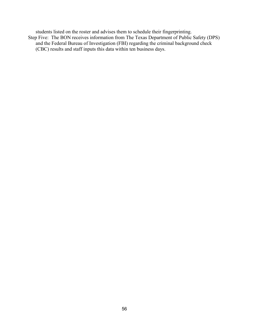students listed on the roster and advises them to schedule their fingerprinting.

Step Five: The BON receives information from The Texas Department of Public Safety (DPS) and the Federal Bureau of Investigation (FBI) regarding the criminal background check (CBC) results and staff inputs this data within ten business days.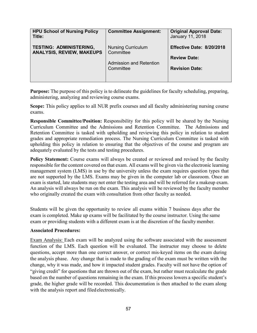| <b>HPU School of Nursing Policy</b><br>Title:                      | <b>Committee Assignment:</b>                                                   | <b>Original Approval Date:</b><br>January 11, 2018                        |
|--------------------------------------------------------------------|--------------------------------------------------------------------------------|---------------------------------------------------------------------------|
| <b>TESTING: ADMINISTERING,</b><br><b>ANALYSIS, REVIEW, MAKEUPS</b> | <b>Nursing Curriculum</b><br>Committee<br>Admission and Retention<br>Committee | Effective Date: 8/20/2018<br><b>Review Date:</b><br><b>Revision Date:</b> |
|                                                                    |                                                                                |                                                                           |

**Purpose:** The purpose of this policy is to delineate the guidelines for faculty scheduling, preparing, administering, analyzing and reviewing course exams.

**Scope:** This policy applies to all NUR prefix courses and all faculty administering nursing course exams.

**Responsible Committee/Position:** Responsibility for this policy will be shared by the Nursing Curriculum Committee and the Admissions and Retention Committee. The Admissions and Retention Committee is tasked with upholding and reviewing this policy in relation to student grades and appropriate remediation process. The Nursing Curriculum Committee is tasked with upholding this policy in relation to ensuring that the objectives of the course and program are adequately evaluated by the tests and testing procedures.

Policy Statement: Course exams will always be created or reviewed and revised by the faculty responsible for the content covered on that exam. All exams will be given via the electronic learning management system (LMS) in use by the university unless the exam requires question types that are not supported by the LMS. Exams may be given in the computer lab or classroom. Once an exam is started, late students may not enter the testing area and will be referred for a makeup exam. An analysis will always be run on the exam. This analysis will be reviewed by the faculty member who originally created the exam with consultation from other faculty as needed.

Students will be given the opportunity to review all exams within 7 business days after the exam is completed. Make up exams will be facilitated by the course instructor. Using the same exam or providing students with a different exam is at the discretion of the faculty member.

#### **Associated Procedures:**

Exam Analysis: Each exam will be analyzed using the software associated with the assessment function of the LMS. Each question will be evaluated. The instructor may choose to delete questions, accept more than one correct answer, or correct mis-keyed items on the exam during the analysis phase. Any change that is made to the grading of the exam must be written with the change, why it was made, and how it impacted student grades. Faculty will not have the option of "giving credit" for questions that are thrown out of the exam, but rather must recalculate the grade based on the number of questions remaining in the exam. If this process lowers a specific student's grade, the higher grade will be recorded. This documentation is then attached to the exam along with the analysis report and filed electronically.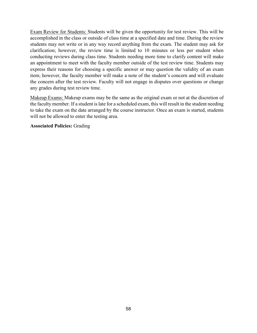Exam Review for Students: Students will be given the opportunity for test review. This will be accomplished in the class or outside of class time at a specified date and time. During the review students may not write or in any way record anything from the exam. The student may ask for clarification; however, the review time is limited to 10 minutes or less per student when conducting reviews during class time. Students needing more time to clarify content will make an appointment to meet with the faculty member outside of the test review time. Students may express their reasons for choosing a specific answer or may question the validity of an exam item; however, the faculty member will make a note of the student's concern and will evaluate the concern after the test review. Faculty will not engage in disputes over questions or change any grades during test review time.

Makeup Exams: Makeup exams may be the same as the original exam or not at the discretion of the faculty member. If a student is late for a scheduled exam, this will result in the student needing to take the exam on the date arranged by the course instructor. Once an exam is started, students will not be allowed to enter the testing area.

#### **Associated Policies:** Grading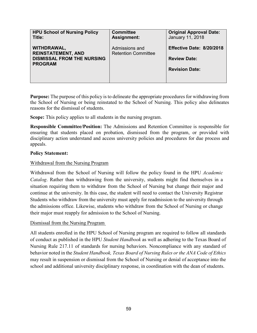| <b>HPU School of Nursing Policy</b>                                                             | <b>Committee</b>                             | <b>Original Approval Date:</b>                                            |
|-------------------------------------------------------------------------------------------------|----------------------------------------------|---------------------------------------------------------------------------|
| Title:                                                                                          | <b>Assignment:</b>                           | January 11, 2018                                                          |
| WITHDRAWAL,<br><b>REINSTATEMENT, AND</b><br><b>DISMISSAL FROM THE NURSING</b><br><b>PROGRAM</b> | Admissions and<br><b>Retention Committee</b> | Effective Date: 8/20/2018<br><b>Review Date:</b><br><b>Revision Date:</b> |

**Purpose:** The purpose of this policy is to delineate the appropriate procedures for withdrawing from the School of Nursing or being reinstated to the School of Nursing. This policy also delineates reasons for the dismissal of students.

**Scope:** This policy applies to all students in the nursing program.

**Responsible Committee/Position:** The Admissions and Retention Committee is responsible for ensuring that students placed on probation, dismissed from the program, or provided with disciplinary action understand and access university policies and procedures for due process and appeals.

#### **Policy Statement:**

### Withdrawal from the Nursing Program

Withdrawal from the School of Nursing will follow the policy found in the HPU *Academic Catalog*. Rather than withdrawing from the university, students might find themselves in a situation requiring them to withdraw from the School of Nursing but change their major and continue at the university. In this case, the student will need to contact the University Registrar Students who withdraw from the university must apply for readmission to the university through the admissions office. Likewise, students who withdraw from the School of Nursing or change their major must reapply for admission to the School of Nursing.

#### Dismissal from the Nursing Program

All students enrolled in the HPU School of Nursing program are required to follow all standards of conduct as published in the HPU *Student Handbook* as well as adhering to the Texas Board of Nursing Rule 217.11 of standards for nursing behaviors. Noncompliance with any standard of behavior noted in the *Student Handbook, Texas Board of Nursing Rules or the ANA Code of Ethics*  may result in suspension or dismissal from the School of Nursing or denial of acceptance into the school and additional university disciplinary response, in coordination with the dean of students.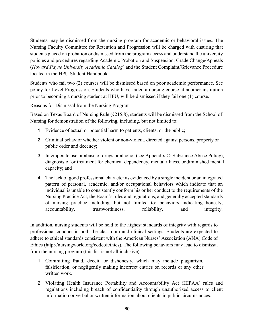Students may be dismissed from the nursing program for academic or behavioral issues. The Nursing Faculty Committee for Retention and Progression will be charged with ensuring that students placed on probation or dismissed from the program access and understand the university policies and procedures regarding Academic Probation and Suspension, Grade Change/Appeals (*Howard Payne University Academic Catalog*) and the Student Complaint/Grievance Procedure located in the HPU Student Handbook.

Students who fail two (2) courses will be dismissed based on poor academic performance. See policy for Level Progression. Students who have failed a nursing course at another institution prior to becoming a nursing student at HPU, will be dismissed if they fail one (1) course.

Reasons for Dismissal from the Nursing Program

Based on Texas Board of Nursing Rule (§215.8), students will be dismissed from the School of Nursing for demonstration of the following, including, but not limited to:

- 1. Evidence of actual or potential harm to patients, clients, or the public;
- 2. Criminal behavior whether violent or non-violent, directed against persons, property or public order and decency;
- 3. Intemperate use or abuse of drugs or alcohol (see Appendix C: Substance Abuse Policy), diagnosis of or treatment for chemical dependency, mental illness, or diminished mental capacity; and
- 4. The lack of good professional character as evidenced by a single incident or an integrated pattern of personal, academic, and/or occupational behaviors which indicate that an individual is unable to consistently conform his or her conduct to the requirements of the Nursing Practice Act, the Board's rules and regulations, and generally accepted standards of nursing practice including, but not limited to: behaviors indicating honesty, accountability, trustworthiness, reliability, and integrity.

In addition, nursing students will be held to the highest standards of integrity with regards to professional conduct in both the classroom and clinical settings. Students are expected to adhere to ethical standards consistent with the American Nurses' Association (ANA) Code of Ethics (http://nursingworld.org/codeofethics). The following behaviors may lead to dismissal from the nursing program (this list is not all inclusive):

- 1. Committing fraud, deceit, or dishonesty, which may include plagiarism, falsification, or negligently making incorrect entries on records or any other written work.
- 2. Violating Health Insurance Portability and Accountability Act (HIPAA) rules and regulations including breach of confidentiality through unauthorized access to client information or verbal or written information about clients in public circumstances.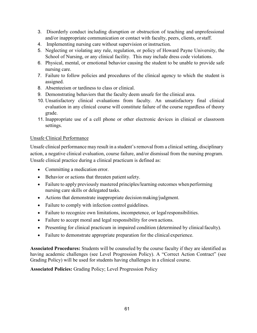- 3. Disorderly conduct including disruption or obstruction of teaching and unprofessional and/or inappropriate communication or contact with faculty, peers, clients, orstaff.
- 4. Implementing nursing care without supervision or instruction.
- 5. Neglecting or violating any rule, regulation, or policy of Howard Payne University, the School of Nursing, or any clinical facility. This may include dress code violations.
- 6. Physical, mental, or emotional behavior causing the student to be unable to provide safe nursing care.
- 7. Failure to follow policies and procedures of the clinical agency to which the student is assigned.
- 8. Absenteeism or tardiness to class or clinical.
- 9. Demonstrating behaviors that the faculty deem unsafe for the clinical area.
- 10. Unsatisfactory clinical evaluations from faculty. An unsatisfactory final clinical evaluation in any clinical course will constitute failure of the course regardless of theory grade.
- 11. Inappropriate use of a cell phone or other electronic devices in clinical or classroom settings.

## Unsafe Clinical Performance

Unsafe clinical performance may result in a student's removal from a clinical setting, disciplinary action, a negative clinical evaluation, course failure, and/or dismissal from the nursing program. Unsafe clinical practice during a clinical practicum is defined as:

- Committing a medication error.
- Behavior or actions that threaten patient safety.
- Failure to apply previously mastered principles/learning outcomes when performing nursing care skills or delegated tasks.
- Actions that demonstrate inappropriate decision making/judgment.
- Failure to comply with infection control guidelines.
- Failure to recognize own limitations, incompetence, or legal responsibilities.
- Failure to accept moral and legal responsibility for own actions.
- Presenting for clinical practicum in impaired condition (determined by clinical faculty).
- Failure to demonstrate appropriate preparation for the clinical experience.

**Associated Procedures:** Students will be counseled by the course faculty if they are identified as having academic challenges (see Level Progression Policy). A "Correct Action Contract" (see Grading Policy) will be used for students having challenges in a clinical course.

**Associated Policies:** Grading Policy; Level Progression Policy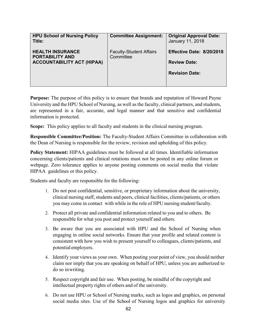| <b>HPU School of Nursing Policy</b><br>Title:                                          | <b>Committee Assignment:</b>                | <b>Original Approval Date:</b><br>January 11, 2018                        |
|----------------------------------------------------------------------------------------|---------------------------------------------|---------------------------------------------------------------------------|
| <b>HEALTH INSURANCE</b><br><b>PORTABILITY AND</b><br><b>ACCOUNTABILITY ACT (HIPAA)</b> | <b>Faculty-Student Affairs</b><br>Committee | Effective Date: 8/20/2018<br><b>Review Date:</b><br><b>Revision Date:</b> |
|                                                                                        |                                             |                                                                           |

**Purpose:** The purpose of this policy is to ensure that brands and reputation of Howard Payne University and the HPU School of Nursing, as well as the faculty, clinical partners, and students, are represented in a fair, accurate, and legal manner and that sensitive and confidential information is protected.

**Scope:** This policy applies to all faculty and students in the clinical nursing program.

**Responsible Committee/Position:** The Faculty-Student Affairs Committee in collaboration with the Dean of Nursing is responsible for the review, revision and upholding of this policy.

**Policy Statement:** HIPAA guidelines must be followed at all times. Identifiable information concerning clients/patients and clinical rotations must not be posted in any online forum or webpage. Zero tolerance applies to anyone posting comments on social media that violate HIPAA guidelines or this policy.

Students and faculty are responsible for the following:

- 1. Do not post confidential, sensitive, or proprietary information about the university, clinical nursing staff, students and peers, clinical facilities, clients/patients, or others you may come in contact with while in the role of HPU nursing student/faculty.
- 2. Protect all private and confidential information related to you and to others. Be responsible for what you post and protect yourself and others.
- 3. Be aware that you are associated with HPU and the School of Nursing when engaging in online social networks. Ensure that your profile and related content is consistent with how you wish to present yourself to colleagues, clients/patients, and potential employers.
- 4. Identify your views as your own. When posting your point of view, you should neither claim nor imply that you are speaking on behalf of HPU, unless you are authorized to do so inwriting.
- 5. Respect copyright and fair use. When posting, be mindful of the copyright and intellectual property rights of others and of the university.
- 6. Do not use HPU or School of Nursing marks, such as logos and graphics, on personal social media sites. Use of the School of Nursing logos and graphics for university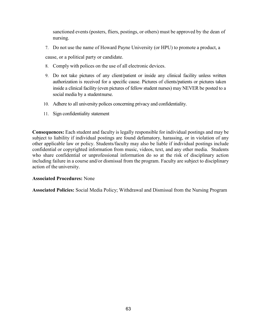sanctioned events (posters, fliers, postings, or others) must be approved by the dean of nursing.

7. Do not use the name of Howard Payne University (or HPU) to promote a product, a

cause, or a political party or candidate.

- 8. Comply with polices on the use of all electronic devices.
- 9. Do not take pictures of any client/patient or inside any clinical facility unless written authorization is received for a specific cause. Pictures of clients/patients or pictures taken inside a clinical facility (even pictures of fellow student nurses) may NEVER be posted to a social media by a studentnurse.
- 10. Adhere to all university polices concerning privacy and confidentiality.
- 11. Sign confidentiality statement

**Consequences:** Each student and faculty is legally responsible for individual postings and may be subject to liability if individual postings are found defamatory, harassing, or in violation of any other applicable law or policy. Students/faculty may also be liable if individual postings include confidential or copyrighted information from music, videos, text, and any other media. Students who share confidential or unprofessional information do so at the risk of disciplinary action including failure in a course and/or dismissal from the program. Faculty are subject to disciplinary action of the university.

#### **Associated Procedures:** None

**Associated Policies:** Social Media Policy; Withdrawal and Dismissal from the Nursing Program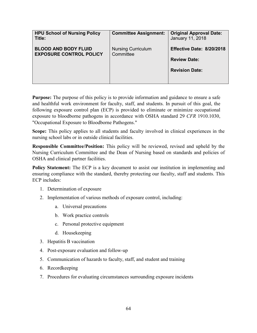| <b>HPU School of Nursing Policy</b><br>Title:                 | <b>Committee Assignment:</b>           | <b>Original Approval Date:</b><br>January 11, 2018 |  |
|---------------------------------------------------------------|----------------------------------------|----------------------------------------------------|--|
| <b>BLOOD AND BODY FLUID</b><br><b>EXPOSURE CONTROL POLICY</b> | <b>Nursing Curriculum</b><br>Committee | Effective Date: 8/20/2018                          |  |
|                                                               |                                        | <b>Review Date:</b>                                |  |
|                                                               |                                        | <b>Revision Date:</b>                              |  |
|                                                               |                                        |                                                    |  |

**Purpose:** The purpose of this policy is to provide information and guidance to ensure a safe and healthful work environment for faculty, staff, and students. In pursuit of this goal, the following exposure control plan (ECP) is provided to eliminate or minimize occupational exposure to bloodborne pathogens in accordance with OSHA standard 29 *CFR* 1910.1030, "Occupational Exposure to Bloodborne Pathogens."

**Scope:** This policy applies to all students and faculty involved in clinical experiences in the nursing school labs or in outside clinical facilities.

**Responsible Committee/Position:** This policy will be reviewed, revised and upheld by the Nursing Curriculum Committee and the Dean of Nursing based on standards and policies of OSHA and clinical partner facilities.

**Policy Statement:** The ECP is a key document to assist our institution in implementing and ensuring compliance with the standard, thereby protecting our faculty, staff and students. This ECP includes:

- 1. Determination of exposure
- 2. Implementation of various methods of exposure control, including:
	- a. Universal precautions
	- b. Work practice controls
	- c. Personal protective equipment
	- d. Housekeeping
- 3. Hepatitis B vaccination
- 4. Post-exposure evaluation and follow-up
- 5. Communication of hazards to faculty, staff, and student and training
- 6. Recordkeeping
- 7. Procedures for evaluating circumstances surrounding exposure incidents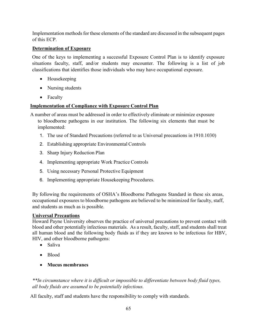Implementation methods for these elements of the standard are discussed in the subsequent pages of this ECP.

# **Determination of Exposure**

One of the keys to implementing a successful Exposure Control Plan is to identify exposure situations faculty, staff, and/or students may encounter. The following is a list of job classifications that identifies those individuals who may have occupational exposure.

- Housekeeping
- Nursing students
- Faculty

# **Implementation of Compliance with Exposure Control Plan**

A number of areas must be addressed in order to effectively eliminate or minimize exposure to bloodborne pathogens in our institution. The following six elements that must be implemented:

- 1. The use of Standard Precautions (referred to as Universal precautions in 1910.1030)
- 2. Establishing appropriate Environmental Controls
- 3. Sharp Injury Reduction Plan
- 4. Implementing appropriate Work Practice Controls
- 5. Using necessary Personal Protective Equipment
- 6. Implementing appropriate Housekeeping Procedures.

By following the requirements of OSHA's Bloodborne Pathogens Standard in these six areas, occupational exposures to bloodborne pathogens are believed to be minimized for faculty, staff, and students as much as is possible.

## **Universal Precautions**

Howard Payne University observes the practice of universal precautions to prevent contact with blood and other potentially infectious materials. As a result, faculty, staff, and students shall treat all human blood and the following body fluids as if they are known to be infectious for HBV, HIV, and other bloodborne pathogens:

- Saliva
- Blood
- **Mucus membranes**

*\*\*In circumstance where it is difficult or impossible to differentiate between body fluid types, all body fluids are assumed to be potentially infectious.*

All faculty, staff and students have the responsibility to comply with standards.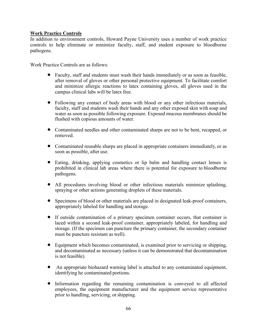### **Work Practice Controls**

In addition to environment controls, Howard Payne University uses a number of work practice controls to help eliminate or minimize faculty, staff, and student exposure to bloodborne pathogens.

Work Practice Controls are as follows:

- Faculty, staff and students must wash their hands immediately or as soon as feasible, after removal of gloves or other personal protective equipment. To facilitate comfort and minimize allergic reactions to latex containing gloves, all gloves used in the campus clinical labs will be latex free.
- Following any contact of body areas with blood or any other infectious materials, faculty, staff and students wash their hands and any other exposed skin with soap and water as soon as possible following exposure. Exposed mucous membranes should be flushed with copious amounts of water.
- Contaminated needles and other contaminated sharps are not to be bent, recapped, or removed.
- Contaminated reusable sharps are placed in appropriate containers immediately, or as soon as possible, after use.
- Eating, drinking, applying cosmetics or lip balm and handling contact lenses is prohibited in clinical lab areas where there is potential for exposure to bloodborne pathogens.
- All procedures involving blood or other infectious materials minimize splashing, spraying or other actions generating droplets of these materials.
- Specimens of blood or other materials are placed in designated leak-proof containers, appropriately labeled for handling and storage.
- If outside contamination of a primary specimen container occurs, that container is laced within a second leak-proof container, appropriately labeled, for handling and storage. (If the specimen can puncture the primary container, the secondary container must be puncture resistant as well).
- Equipment which becomes contaminated, is examined prior to servicing or shipping, and decontaminated as necessary (unless it can be demonstrated that decontamination is not feasible).
- An appropriate biohazard warning label is attached to any contaminated equipment, identifying he contaminated portions.
- Information regarding the remaining contamination is conveyed to all affected employees, the equipment manufacturer and the equipment service representative prior to handling, servicing, orshipping.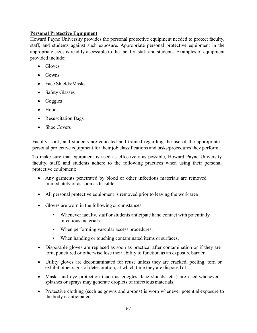## **Personal Protective Equipment**

Howard Payne University provides the personal protective equipment needed to protect faculty, staff, and students against such exposure. Appropriate personal protective equipment in the appropriate sizes is readily accessible to the faculty, staff and students. Examples of equipment provided include:

- Gloves
- Gowns
- Face Shields/Masks
- Safety Glasses
- Goggles
- Hoods
- Resuscitation Bags
- Shoe Covers

Faculty, staff, and students are educated and trained regarding the use of the appropriate personal protective equipment for their job classifications and tasks/procedures they perform.

To make sure that equipment is used as effectively as possible, Howard Payne University faculty, staff, and students adhere to the following practices when using their personal protective equipment:

- Any garments penetrated by blood or other infectious materials are removed immediately or as soon as feasible.
- All personal protective equipment is removed prior to leaving the work area
- Gloves are worn in the following circumstances:
	- Whenever faculty, staff or students anticipate hand contact with potentially infectious materials.
	- When performing vascular access procedures.
	- When handing or touching contaminated items or surfaces.
- Disposable gloves are replaced as soon as practical after contamination or if they are torn, punctured or otherwise lose their ability to function as an exposure barrier.
- Utility gloves are decontaminated for reuse unless they are cracked, peeling, torn or exhibit other signs of deterioration, at which time they are disposed of.
- Masks and eye protection (such as goggles, face shields, etc.) are used whenever splashes or sprays may generate droplets of infectious materials.
- Protective clothing (such as gowns and aprons) is worn whenever potential exposure to the body is anticipated.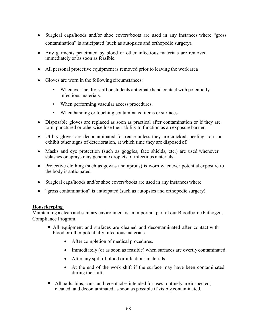- Surgical caps/hoods and/or shoe covers/boots are used in any instances where "gross" contamination" is anticipated (such as autopsies and orthopedic surgery).
- Any garments penetrated by blood or other infectious materials are removed immediately or as soon as feasible.
- All personal protective equipment is removed prior to leaving the work area
- Gloves are worn in the following circumstances:
	- Whenever faculty, staff or students anticipate hand contact with potentially infectious materials.
	- When performing vascular access procedures.
	- When handing or touching contaminated items or surfaces.
- Disposable gloves are replaced as soon as practical after contamination or if they are torn, punctured or otherwise lose their ability to function as an exposure barrier.
- Utility gloves are decontaminated for reuse unless they are cracked, peeling, torn or exhibit other signs of deterioration, at which time they are disposed of.
- Masks and eye protection (such as goggles, face shields, etc.) are used whenever splashes or sprays may generate droplets of infectious materials.
- Protective clothing (such as gowns and aprons) is worn whenever potential exposure to the body is anticipated.
- Surgical caps/hoods and/or shoe covers/boots are used in any instances where
- "gross contamination" is anticipated (such as autopsies and orthopedic surgery).

#### **Housekeeping**

Maintaining a clean and sanitary environment is an important part of our Bloodborne Pathogens Compliance Program.

- All equipment and surfaces are cleaned and decontaminated after contact with blood or other potentially infectious materials.
	- After completion of medical procedures.
	- Immediately (or as soon as feasible) when surfaces are overtly contaminated.
	- After any spill of blood or infectious materials.
	- At the end of the work shift if the surface may have been contaminated during the shift.
- All pails, bins, cans, and receptacles intended for uses routinely are inspected, cleaned, and decontaminated as soon as possible if visibly contaminated.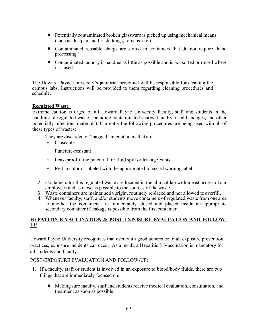- Potentially contaminated broken glassware is picked up using mechanical means (such as dustpan and brush, tongs, forceps, etc.)
- Contaminated reusable sharps are stored in containers that do not require "hand processing"
- Contaminated laundry is handled as little as possible and is not sorted or rinsed where it is used.

The Howard Payne University's janitorial personnel will be responsible for cleaning the campus labs. Instructions will be provided to them regarding cleaning procedures and schedule.

### **Regulated Waste**

Extreme caution is urged of all Howard Payne University faculty, staff and students in the handling of regulated waste (including contaminated sharps, laundry, used bandages, and other potentially infectious materials). Currently the following procedures are being used with all of these types of wastes:

- 1. They are discarded or "bagged" in containers that are:
	- Closeable
	- Puncture-resistant
	- Leak-proof if the potential for fluid spill or leakage exists.
	- Red in color or labeled with the appropriate biohazard warning label.
- 2. Containers for this regulated waste are located in the clinical lab within east access of our employees and as close as possible to the sources of the waste.
- 3. Waste containers are maintained upright, routinely replaced and not allowed to overfill.
- 4. Whenever faculty, staff, and/or students move containers of regulated waste from one area to another the containers are immediately closed and placed inside an appropriate secondary container if leakage is possible from the first container.

## **HEPATITIS B VACCINATION & POST-EXPOSURE EVALUATION AND FOLLOW-UP**

Howard Payne University recognizes that even with good adherence to all exposure prevention practices, exposure incidents can occur. As a result, a Hepatitis B Vaccination is mandatory for all students and faculty.

#### POST-EXPOSURE EVALUATION AND FOLLOW-UP:

- 1. If a faculty, staff or student is involved in an exposure to blood/body fluids, there are two things that are immediately focused on:
	- Making sure faculty, staff and students receive medical evaluation, consultation, and treatment as soon as possible.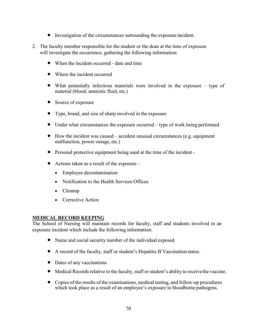- Investigation of the circumstances surrounding the exposure incident.
- 2. The faculty member responsible for the student or the dean at the time of exposure will investigate the occurrence, gathering the following information:
	- When the incident occurred date and time
	- Where the incident occurred
	- What potentially infectious materials were involved in the exposure type of material (blood, amniotic fluid, etc.)
	- Source of exposure
	- Type, brand, and size of sharp involved in the exposure
	- Under what circumstances the exposure occurred type of work being performed
	- How the incident was caused accident unusual circumstances (e.g. equipment malfunction, power outage, etc.)
	- Personal protective equipment being used at the time of the incident -
	- Actions taken as a result of the exposure
		- Employee decontamination
		- Notification to the Health Services Offices
		- Cleanup
		- Corrective Action

#### **MEDICAL RECORD KEEPING**

The School of Nursing will maintain records for faculty, staff and students involved in an exposure incident which include the following information:

- Name and social security number of the individual exposed
- A record of the faculty, staff or student's Hepatitis B Vaccination status.
- Dates of any vaccinations
- Medical Records relative to the faculty, staff or student's ability to receivethe vaccine.
- Copies of the results of the examinations, medical testing, and follow-up procedures which took place as a result of an employee's exposure to bloodborne pathogens.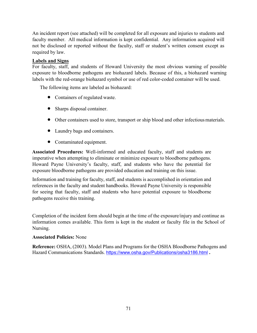An incident report (see attached) will be completed for all exposure and injuries to students and faculty member. All medical information is kept confidential. Any information acquired will not be disclosed or reported without the faculty, staff or student's written consent except as required by law.

## **Labels and Signs**

For faculty, staff, and students of Howard University the most obvious warning of possible exposure to bloodborne pathogens are biohazard labels. Because of this, a biohazard warning labels with the red-orange biohazard symbol or use of red color-coded container will be used.

The following items are labeled as biohazard:

- Containers of regulated waste.
- Sharps disposal container.
- Other containers used to store, transport or ship blood and other infectious materials.
- Laundry bags and containers.
- Contaminated equipment.

**Associated Procedures:** Well-informed and educated faculty, staff and students are imperative when attempting to eliminate or minimize exposure to bloodborne pathogens. Howard Payne University's faculty, staff, and students who have the potential for exposure bloodborne pathogens are provided education and training on this issue.

Information and training for faculty, staff, and students is accomplished in orientation and references in the faculty and student handbooks. Howard Payne University is responsible for seeing that faculty, staff and students who have potential exposure to bloodborne pathogens receive this training.

Completion of the incident form should begin at the time of the exposure/injury and continue as information comes available. This form is kept in the student or faculty file in the School of Nursing.

## **Associated Policies:** None

**Reference:** OSHA, (2003). Model Plans and Programs for the OSHA Bloodborne Pathogens and Hazard Communications Standards. <https://www.osha.gov/Publications/osha3186.html> **.**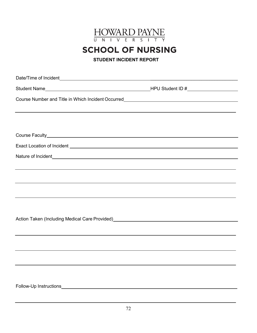

**SCHOOL OF NURSING** 

**STUDENT INCIDENT REPORT**

| ,我们也不会有什么。""我们的人,我们也不会有什么?""我们的人,我们也不会有什么?""我们的人,我们也不会有什么?""我们的人,我们也不会有什么?""我们的人                                                                                                                                  |  |  |  |
|-------------------------------------------------------------------------------------------------------------------------------------------------------------------------------------------------------------------|--|--|--|
|                                                                                                                                                                                                                   |  |  |  |
|                                                                                                                                                                                                                   |  |  |  |
|                                                                                                                                                                                                                   |  |  |  |
|                                                                                                                                                                                                                   |  |  |  |
|                                                                                                                                                                                                                   |  |  |  |
| ,我们也不会有什么?""我们的人,我们也不会有什么?""我们的人,我们也不会有什么?""我们的人,我们也不会有什么?""我们的人,我们也不会有什么?""我们的人                                                                                                                                  |  |  |  |
|                                                                                                                                                                                                                   |  |  |  |
| ,我们也不会有什么?""我们的人,我们也不会有什么?""我们的人,我们也不会有什么?""我们的人,我们也不会有什么?""我们的人,我们也不会有什么?""我们的人                                                                                                                                  |  |  |  |
|                                                                                                                                                                                                                   |  |  |  |
|                                                                                                                                                                                                                   |  |  |  |
|                                                                                                                                                                                                                   |  |  |  |
| Action Taken (Including Medical Care Provided)<br>Action Taken (Including Medical Care Provided)<br>2020 - 2021 - 2022 - 2022 - 2022 - 2022 - 2022 - 2022 - 2022 - 2022 - 2023 - 2022 - 2022 - 2023 - 2022 - 2022 |  |  |  |
| ,我们也不会有什么。""我们的人,我们也不会有什么?""我们的人,我们也不会有什么?""我们的人,我们也不会有什么?""我们的人,我们也不会有什么?""我们的人                                                                                                                                  |  |  |  |
|                                                                                                                                                                                                                   |  |  |  |
|                                                                                                                                                                                                                   |  |  |  |
|                                                                                                                                                                                                                   |  |  |  |
|                                                                                                                                                                                                                   |  |  |  |
|                                                                                                                                                                                                                   |  |  |  |
|                                                                                                                                                                                                                   |  |  |  |
|                                                                                                                                                                                                                   |  |  |  |
|                                                                                                                                                                                                                   |  |  |  |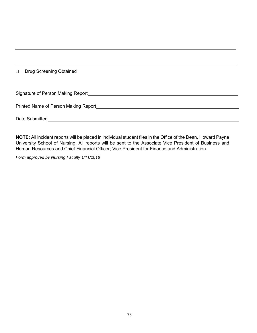□ Drug Screening Obtained

| Signature of Person Making Report    |  |
|--------------------------------------|--|
|                                      |  |
| Printed Name of Person Making Report |  |
|                                      |  |
| Date Submitted                       |  |

**NOTE:** All incident reports will be placed in individual student files in the Office of the Dean, Howard Payne University School of Nursing. All reports will be sent to the Associate Vice President of Business and Human Resources and Chief Financial Officer; Vice President for Finance and Administration.

*Form approved by Nursing Faculty 1/11/2018*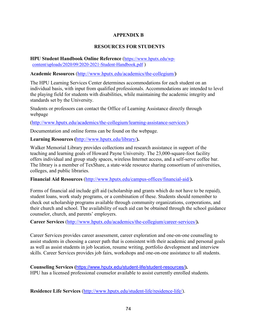# **APPENDIX B**

#### **RESOURCES FOR STUDENTS**

**HPU Student Handbook Online Reference** [\(https://www.hputx.edu/wp](https://www.hputx.edu/wp-content/uploads/2020/09/2020-2021-Student-Handbook.pdf)[content/uploads/2020/09/2020-2021-Student-Handbook.pdf](https://www.hputx.edu/wp-content/uploads/2020/09/2020-2021-Student-Handbook.pdf) )

**Academic Resources** [\(http://www.hputx.edu/academics/the-collegium/](http://www.hputx.edu/academics/the-collegium/)**)**

The HPU Learning Services Center determines accommodations for each student on an individual basis, with input from qualified professionals. Accommodations are intended to level the playing field for students with disabilities, while maintaining the academic integrity and standards set by the University.

Students or professors can contact the Office of Learning Assistance directly through webpage

[\(http://www.hputx.edu/academics/the-collegium/learning-assistance-services/\)](http://www.hputx.edu/academics/the-collegium/learning-assistance-services/)

Documentation and online forms can be found on the webpage.

**Learning Resources (**<http://www.hputx.edu/library/>**).**

Walker Memorial Library provides collections and research assistance in support of the teaching and learning goals of Howard Payne University. The 23,000-square-foot facility offers individual and group study spaces, wireless Internet access, and a self-serve coffee bar. The library is a member of TexShare, a state-wide resource sharing consortium of universities, colleges, and public libraries.

**Financial Aid Resources** [\(http://www.hputx.edu/campus-offices/financial-aid/](http://www.hputx.edu/campus-offices/financial-aid/)**).**

[Forms of financial aid](http://www.letu.edu/opencms/opencms/_Admissions/financial-aid/types-of-aid/index.html) include gift aid (scholarship and grants which do not have to be repaid), student loans, work study programs, or a combination of these. Students should remember to check out scholarship programs available through community organizations, corporations, and their church and school. The availability of such aid can be obtained through the school guidance counselor, church, and parents' employers.

**Career Services** [\(http://www.hputx.edu/academics/the-collegium/career-services/](http://www.hputx.edu/academics/the-collegium/career-services/)**).**

Career Services provides career assessment, career exploration and one-on-one counseling to assist students in choosing a career path that is consistent with their academic and personal goals as well as assist students in job location, resume writing, portfolio development and interview skills. Career Services provides job fairs, workshops and one-on-one assistance to all students.

**Counseling Services (**<https://www.hputx.edu/student-life/student-resources/>**).** HPU has a licensed professional counselor available to assist currently enrolled students.

**Residence Life Services** [\(http://www.hputx.edu/student-life/residence-life/\)](http://www.hputx.edu/student-life/residence-life/).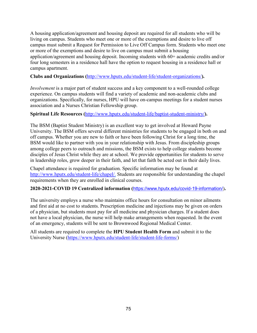A housing application/agreement and housing deposit are required for all students who will be living on campus. Students who meet one or more of the exemptions and desire to live off campus must submit a Request for Permission to Live Off Campus form. Students who meet one or more of the exemptions and desire to live on campus must submit a housing application/agreement and housing deposit. Incoming students with 60+ academic credits and/or four long semesters in a residence hall have the option to request housing in a residence hall or campus apartment.

#### **Clubs and Organizations (**<http://www.hputx.edu/student-life/student-organizations/>**).**

*Involvement* is a major part of student success and a key component to a well-rounded college experience. On campus students will find a variety of academic and non-academic clubs and organizations. Specifically, for nurses, HPU will have on-campus meetings for a student nurses association and a Nurses Christian Fellowship group.

#### **Spiritual Life Resources (**<http://www.hputx.edu/student-life/baptist-student-ministry/>**).**

The BSM (Baptist Student Ministry) is an excellent way to get involved at Howard Payne University. The BSM offers several different ministries for students to be engaged in both on and off campus. Whether you are new to faith or have been following Christ for a long time, the BSM would like to partner with you in your relationship with Jesus. From discipleship groups among college peers to outreach and missions, the BSM exists to help college students become disciples of Jesus Christ while they are at school. We provide opportunities for students to serve in leadership roles, grow deeper in their faith, and let that faith be acted out in their daily lives.

Chapel attendance is required for graduation. Specific information may be found at [http://www.hputx.edu/student-life/chapel/.](http://www.hputx.edu/student-life/chapel/) Students are responsible for understanding the chapel requirements when they are enrolled in clinical courses.

### **2020-2021-COVID 19 Centralized information (**<https://www.hputx.edu/covid-19-information/>)**.**

The university employs a nurse who maintains office hours for consultation on minor ailments and first aid at no cost to students. Prescription medicine and injections may be given on orders of a physician, but students must pay for all medicine and physician charges. If a student does not have a local physician, the nurse will help make arrangements when requested. In the event of an emergency, students will be sent to Brownwood Regional Medical Center.

All students are required to complete the **HPU Student Health Form** and submit it to the University Nurse [\(https://www.hputx.edu/student-life/student-life-forms/\)](https://www.hputx.edu/student-life/student-life-forms/)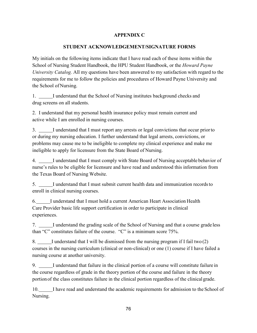## **APPENDIX C**

#### **STUDENT ACKNOWLEDGEMENT/SIGNATURE FORMS**

My initials on the following items indicate that I have read each of these items within the School of Nursing Student Handbook, the HPU Student Handbook, or the *Howard Payne University Catalog.* All my questions have been answered to my satisfaction with regard to the requirements for me to follow the policies and procedures of Howard Payne University and the School of Nursing.

1. I understand that the School of Nursing institutes background checks and drug screens on all students.

2. I understand that my personal health insurance policy must remain current and active while I am enrolled in nursing courses.

3. I understand that I must report any arrests or legal convictions that occur priorto or during my nursing education. I further understand that legal arrests, convictions, or problems may cause me to be ineligible to complete my clinical experience and make me ineligible to apply for licensure from the State Board of Nursing.

4. I understand that I must comply with State Board of Nursing acceptable behavior of nurse's rules to be eligible for licensure and have read and understood this information from the Texas Board of Nursing Website.

5. I understand that I must submit current health data and immunization recordsto enroll in clinical nursing courses.

6. I understand that I must hold a current American Heart Association Health Care Provider basic life support certification in order to participate in clinical experiences.

7. I understand the grading scale of the School of Nursing and that a course grade less than "C" constitutes failure of the course. "C" is a minimum score 75%.

8. I understand that I will be dismissed from the nursing program if I fail two (2) courses in the nursing curriculum (clinical or non-clinical) or one (1) course if I have failed a nursing course at another university.

9. I understand that failure in the clinical portion of a course will constitute failure in the course regardless of grade in the theory portion of the course and failure in the theory portionof the class constitutes failure in the clinical portion regardless of the clinical grade.

10. I have read and understand the academic requirements for admission to the School of Nursing.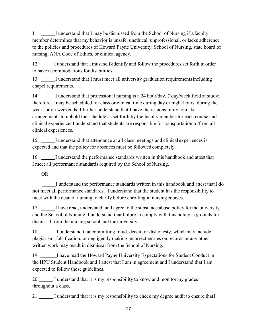11. I understand that I may be dismissed from the School of Nursing if a faculty member determines that my behavior is unsafe, unethical, unprofessional, or lacks adherence to the policies and procedures of Howard Payne University, School of Nursing, state board of nursing, ANA Code of Ethics, or clinical agency.

12. I understand that I must self-identify and follow the procedures set forth in order to have accommodations for disabilities.

13. I understand that I must meet all university graduation requirementsincluding chapel requirements.

14. I understand that professional nursing is a 24 hour/day, 7 day/week field of study; therefore, I may be scheduled for class or clinical time during day or night hours, during the week, or on weekends. I further understand that I have the responsibility to make arrangements to uphold the schedule as set forth by the faculty member for each course and clinical experience. I understand that students are responsible for transportation to/from all clinical experiences.

15. I understand that attendance at all class meetings and clinical experiences is expected and that the policy for absences must be followed completely.

16. I understand the performance standards written in this handbook and attest that I meet all performance standards required by the School of Nursing.

OR

I understand the performance standards written in this handbook and attest thatI **do not** meet all performance standards. I understand that the student has the responsibility to meet with the dean of nursing to clarify before enrolling in nursing courses.

17. I have read, understand, and agree to the substance abuse policy for the university and the School of Nursing. I understand that failure to comply with this policy is grounds for dismissal from the nursing school and the university.

18. I understand that committing fraud, deceit, or dishonesty, which may include plagiarism, falsification, or negligently making incorrect entries on records or any other written work may result in dismissal from the School of Nursing.

19. I have read the Howard Payne University Expectations for Student Conduct in the HPU Student Handbook and I attest that I am in agreement and I understand that I am expected to follow those guidelines.

20. I understand that it is my responsibility to know and monitor my grades throughout a class.

21. I understand that it is my responsibility to check my degree audit to ensure that I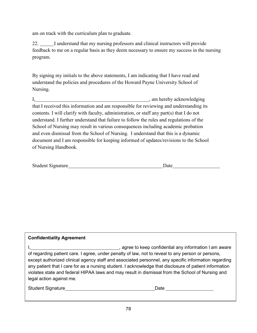am on track with the curriculum plan to graduate.

22. I understand that my nursing professors and clinical instructors will provide feedback to me on a regular basis as they deem necessary to ensure my success in the nursing program.

By signing my initials to the above statements, I am indicating that I have read and understand the policies and procedures of the Howard Payne University School of Nursing.

I, am hereby acknowledging that I received this information and am responsible for reviewing and understanding its contents. I will clarify with faculty, administration, or staff any part(s) that I do not understand. I further understand that failure to follow the rules and regulations of the School of Nursing may result in various consequences including academic probation and even dismissal from the School of Nursing. I understand that this is a dynamic document and I am responsible for keeping informed of updates/revisions to the School of Nursing Handbook.

| <b>Student Signature</b><br>Jate |
|----------------------------------|
|----------------------------------|

# **Confidentiality Agreement**

I, 1. All 2013 Contracts and the set of the set of the set of the set of the set of the set of the set of the set of the set of the set of the set of the set of the set of the set of the set of the set of the set of the se of regarding patient care. I agree, under penalty of law, not to reveal to any person or persons, except authorized clinical agency staff and associated personnel, any specific information regarding any patient that I care for as a nursing student. I acknowledge that disclosure of patient information violates state and federal HIPAA laws and may result in dismissal from the School of Nursing and legal action against me.

| Student Signature | Date |
|-------------------|------|
|                   |      |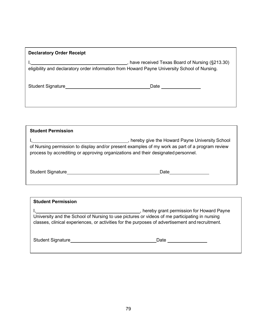| <b>Declaratory Order Receipt</b>                                                                                                                                                                                                   |                                                |
|------------------------------------------------------------------------------------------------------------------------------------------------------------------------------------------------------------------------------------|------------------------------------------------|
| eligibility and declaratory order information from Howard Payne University School of Nursing.                                                                                                                                      | have received Texas Board of Nursing (§213.30) |
| Student Signature <b>Student Signature</b> and the student Signature and the student of the student of the student of the student of the student of the student of the student of the student of the student of the student of the | Date                                           |

| <b>Student Permission</b>                                                                                                                                                                                                              |      |  |
|----------------------------------------------------------------------------------------------------------------------------------------------------------------------------------------------------------------------------------------|------|--|
| hereby give the Howard Payne University School<br>of Nursing permission to display and/or present examples of my work as part of a program review<br>process by accrediting or approving organizations and their designated personnel. |      |  |
| <b>Student Signature</b>                                                                                                                                                                                                               | Date |  |

| <b>Student Permission</b>                                                                                                                                                                                                                    |      |  |
|----------------------------------------------------------------------------------------------------------------------------------------------------------------------------------------------------------------------------------------------|------|--|
| hereby grant permission for Howard Payne<br>University and the School of Nursing to use pictures or videos of me participating in nursing<br>classes, clinical experiences, or activities for the purposes of advertisement and recruitment. |      |  |
| <b>Student Signature</b>                                                                                                                                                                                                                     | Date |  |